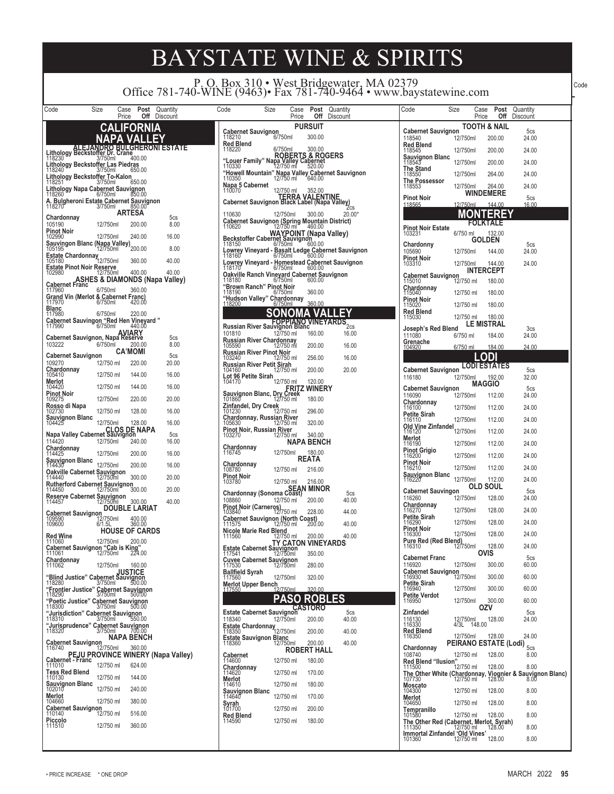P. O. Box 310 • West Bridgewater, MA 02379 Office 781-740-WINE (9463)• Fax 781-740-9464 • www.baystatewine.com

| Code                                                                                                                      | Size               | Case<br>Price                        | Post<br>Off              | Quantity<br>Discount                      |
|---------------------------------------------------------------------------------------------------------------------------|--------------------|--------------------------------------|--------------------------|-------------------------------------------|
|                                                                                                                           |                    |                                      |                          |                                           |
|                                                                                                                           |                    | A                                    |                          |                                           |
| .ithology Beckstoffer<br>ı                                                                                                | EJANDI<br>Dr.      | ΒU<br>Crane                          |                          | <b>ESTATE</b>                             |
| 1<br>18230<br>ithology Beckstof <u>fer L</u> as Piedras.<br>ı                                                             | 3/750ml            |                                      | 400.00                   |                                           |
| 18240<br>ı                                                                                                                | 3/750ml            |                                      | 650.00                   |                                           |
| ithology Beckstoffer To-Kalon<br>18251 3/750ml<br>ı                                                                       |                    |                                      | 650.00                   |                                           |
| ithology Napa Cabernet Sauvignon<br>18260 6/750ml<br>118260                                                               |                    |                                      |                          |                                           |
| Bulgheroni Estate Cabernet Sauvignon<br>8270 3/750ml 850.00<br>118270                                                     |                    | ARTESA                               |                          |                                           |
| Chardonnay<br>105190                                                                                                      | 12/750ml           |                                      | 200.00                   | 5cs<br>8.00                               |
| Pinot Noir<br>102990                                                                                                      | 12/750ml           |                                      | 240.00                   | 16.00                                     |
|                                                                                                                           |                    |                                      | 200.00                   | 8.00                                      |
| Estate Chardonnay<br>12/750ml                                                                                             |                    |                                      | 360.00                   | 40.00                                     |
| Estate Pinot Noir Reserve<br>102980 12/750ml                                                                              |                    |                                      | 400.00                   | 40.00                                     |
|                                                                                                                           |                    |                                      |                          | <b>ASHES &amp; DIAMONDS (Napa Valley)</b> |
| Cabernet Franc<br>117960<br>Grand Vin (Merlot & Cabernet Franc)<br>117970 6/750ml 420.0                                   | 6/750ml            |                                      | 360.00                   |                                           |
|                                                                                                                           |                    |                                      | 420.00                   |                                           |
| <b>Blanc</b><br>117980<br>Cabernet Sauvingon "Red Hen Vineyard"                                                           | 6/750ml            |                                      | 220.00                   |                                           |
| 17990                                                                                                                     | 6/750ml            |                                      | 440.00<br><b>IARY</b>    |                                           |
| Cabernet Sauvignon, Napa Reserve<br>103222                                                                                | 6/750ml            |                                      | 200.00                   | 5cs<br>8.00                               |
| <b>Cabernet Sauvignon</b>                                                                                                 |                    | <b>CA'MOMI</b>                       |                          | 5cs                                       |
| 109270<br>Chardonnay                                                                                                      | 12/750 ml          |                                      | 220.00                   | 20.00                                     |
| 105410<br>Meriot                                                                                                          | 12/750 ml          |                                      | 144.00                   | 16.00                                     |
| 104420                                                                                                                    | 12/750 ml          |                                      | 144.00                   | 16.00                                     |
| Pinot Noir<br><sub>109275</sub>                                                                                           | 12/750ml           |                                      | 220.00                   | 20.00                                     |
| Rosso di Napa<br><sup>102730</sup>                                                                                        | 12/750 ml          |                                      | 128.00                   | 16.00                                     |
| Sauvignon Blanc<br><sup>104425</sup>                                                                                      | 12/750ml           |                                      | 128.00<br><b>DE NAPA</b> | 16.00                                     |
| CLOS DE<br>Napa Valley Cabernet Sauvignon<br>114420                                                                       | 12/750ml           |                                      | 240.00                   | 5cs<br>16.00                              |
| Chardonnay<br>114425                                                                                                      | 12/750ml           |                                      | 200.00                   | 16.00                                     |
| <b>Sauvignon Blanc</b><br>114430                                                                                          | 12/750ml           |                                      | 200.00                   | 16.00                                     |
| Oakville Cabernet<br>114440                                                                                               |                    | Sauvignon<br>12/750ml                | 300.00                   | 20.00                                     |
| Rutherford Cabernet Sauvignon<br>114450 12/750ml                                                                          |                    |                                      | 300.00                   | 20.00                                     |
| Reserve Cabernet Sauvignon<br>114457 12/750ml                                                                             |                    |                                      | 300.00                   | 40.00                                     |
| <b>Cabernet Sauvignon</b>                                                                                                 |                    | <b>DOUBL</b>                         | LARIAT                   |                                           |
| 109590<br>109600                                                                                                          | 12/750ml<br>6/1.5L |                                      | 400.00<br>360.00         |                                           |
| Red Wine                                                                                                                  |                    | <b>HOUSE OF CARDS</b>                |                          |                                           |
| 111060<br>Cabernet Sauvignon "Cab is King"<br>111061 12/750ml 224.00                                                      | 12/750ml           |                                      | 200.00                   |                                           |
| Chardonnay                                                                                                                |                    |                                      |                          |                                           |
| 111062                                                                                                                    | 12/750ml           |                                      | 160.00                   |                                           |
| Blind Justice" Cabernet Sauvignon"<br>3/750ml 500.00                                                                      |                    |                                      |                          |                                           |
| "Frontier Justice"<br>118290                                                                                              |                    | Cabernet Sauvignon<br>3/750ml 500.00 |                          |                                           |
| "Poetic Justice" Cabernet Sauvignon<br>118300 1750ml 500.00                                                               |                    |                                      |                          |                                           |
| "Jurisdiction" Cabernet Sauvignon<br>118310 3/750ml 550.00                                                                |                    |                                      |                          |                                           |
| "Jurisprudence" Cabernet Sauvignon<br>118320 187750ml 700.00                                                              |                    |                                      |                          |                                           |
| Cabernet Sauvignon<br>12 <sup>16740</sup>                                                                                 |                    | NAPA BENCH                           |                          |                                           |
| PEJU PROVINCE WINERY (Napa Valley)<br>Cabernet - Franc 19756 million (Napa Valley)<br>11000 million 19756 million Correct |                    |                                      |                          |                                           |
|                                                                                                                           |                    |                                      |                          |                                           |
| Tess Red Blend<br>110130                                                                                                  | 12/750 ml          |                                      | 144.00                   |                                           |
| Sauvignon Blanc<br>102010                                                                                                 | 12/750 ml          |                                      | 240.00                   |                                           |
| Merlot<br>104660                                                                                                          | 12/750 ml          |                                      | 380.00                   |                                           |
| Cabernet Sauvignon<br>12 <sup>1</sup> 110140                                                                              | 12/750 ml          |                                      | 516.00                   |                                           |
| Piccolo<br>111510                                                                                                         | 12/750 ml          |                                      | 360.00                   |                                           |
|                                                                                                                           |                    |                                      |                          |                                           |

| Code<br>Size                                                                       | Case<br>Price      | Post<br>Off                    | Quantity<br>Discount |  |
|------------------------------------------------------------------------------------|--------------------|--------------------------------|----------------------|--|
|                                                                                    |                    | PURSUIT                        |                      |  |
| Cabernet Sauvignon                                                                 | 6/750ml            | 300.00                         |                      |  |
| Red Blend<br>118220                                                                | 6/750ml            | 300.00                         |                      |  |
| ROBERTS<br>Louer Family" Napa Valley Ca<br>12/750 ml 12/750 ml                     |                    | & ROGERS<br>Cabernet<br>520.00 |                      |  |
| "Howell Mountain" Napa Valley Cabernet Sauvignon<br>110350 12/750 ml 640.00        |                    |                                |                      |  |
| Napa 5 Cabernet<br>110070                                                          |                    |                                |                      |  |
| TERRA VALENTINE<br>Cabernet Sauvignon Black Label (Napa Valley                     | 12/750 ml          | 352.00                         |                      |  |
|                                                                                    |                    |                                | 2cs                  |  |
| 110630<br>Cabernet Sauvignon (Spring Mountain District)<br>110620 12/750 ml 460.00 | 12/750ml           | 300.00                         | 20.00*               |  |
| WAYPOINT (Napa Valley)<br>Beckstoffer Cabernet Sauvignon                           |                    |                                |                      |  |
| 118150                                                                             | 6/750ml            | 600.00                         |                      |  |
| Lowrey Vineyard - Basalt Ledge Cabernet Sauvignon<br>118160                        |                    |                                |                      |  |
|                                                                                    |                    |                                |                      |  |
|                                                                                    |                    |                                |                      |  |
| <b>Brown Ranch" Pinot Noir</b> 118190<br>"Hudson Valley" Chardonnay                |                    | 360.00                         |                      |  |
| <u> 118200</u>                                                                     | 6/750ml            | 360.00                         |                      |  |
|                                                                                    | <b>FOPPIANO</b>    | A<br>VINE                      |                      |  |
| Russian River Sauvignon Blanc<br>101810                                            | 12/750 ml          | 160.00                         | 2cs<br>16.00         |  |
| <u>Russian River Chardonnay</u><br>105590                                          | 12/750 ml          | 200.00                         | 16.00                |  |
| Russian River Pinot Noir<br>103240                                                 | 12/750 ml          | 256.00                         | 16.00                |  |
| Russian River Petit Sirah<br>104160 12/750 ml                                      |                    | 200.00                         | 20.00                |  |
| Lot 96 Petite Sirah<br>104170                                                      | 12/750 ml          | 120.00                         |                      |  |
| FRITZ WINERY<br>Sauvignon Blanc, Dry Creek<br>101860 - 12/750 ml                   |                    |                                |                      |  |
| Zinfandel, Dry Creek                                                               |                    |                                |                      |  |
| 101230<br>Chardonnay, Russian River                                                | 12/750 ml          | 296.00                         |                      |  |
| 105630<br>Pinot Noir, Russian River                                                | 12/750 ml          | 320.00                         |                      |  |
| 103270                                                                             | 12/750 ml          | 340.00<br>NAPA BENCH           |                      |  |
| <b>Chardonnay</b><br>116745                                                        | 12/750ml           | 180.00                         |                      |  |
| Chardonnay<br>108780                                                               | 12/750 ml          | REATA<br>216.00                |                      |  |
| <b>Pinot Noir</b><br>103780                                                        | 12/750 ml          | 216.00                         |                      |  |
| Chardonnay (Sonoma Coีลิรีt์)                                                      |                    | SEAN MINOR                     | 5 <sub>cs</sub>      |  |
| 108860<br>Pinot Noir (Carneros                                                     | 12/750 ml          | 200.00                         | 40.00                |  |
| 103840                                                                             | 12/750 ml          | 228.00                         | 44.00                |  |
| Cabernet Sauvignon (North Coast)<br>111575 12/750 ml                               |                    | 200.00                         | 40.00                |  |
| Nicole Marie Red Blend<br>111560 12/750 ml                                         | TY CATON VINEYARDS | 200.00                         | 40.00                |  |
| Estate Cabernet Sauvignon<br>117541 12/750ml                                       |                    | 350.00                         |                      |  |
| Cuvee Cabernet Sauvignon<br>117530                                                 | 12/750ml           | 280.00                         |                      |  |
| <b>Ballfield Syrah</b><br>117560                                                   | 12/750ml           | 320.00                         |                      |  |
| Merlot Upper Bench                                                                 | 2/750ml            | 320.00                         |                      |  |
|                                                                                    | ٠                  | ROBI                           | ES                   |  |
| Estate Cabernet Sauvignon<br>118340<br>118340                                      | 12/750ml           | 200.00                         | 5cs                  |  |
| Estate Chardonnay<br>Estate Chardonnay                                             |                    |                                | 40.00                |  |
| Estate Sauvignon Blanc                                                             |                    | 200.00                         | 40.00                |  |
| 118360                                                                             | 12/750ml           | 200.00<br><b>ROBERT HALL</b>   | 40.00                |  |
| Cabernet<br>114600                                                                 | 12/750 ml          | 180.00                         |                      |  |
| <b>Chardonnay</b><br>114620                                                        | 12/750 ml          | 170.00                         |                      |  |
| <b>Merlot</b><br>114610                                                            | 12/750 ml          | 180.00                         |                      |  |
| Sauvignon Blanc<br>114640                                                          | 12/750 ml          | 170.00                         |                      |  |
| <b>Syrah</b><br>101700<br>Red Blend                                                | 12/750 ml          | 200.00                         |                      |  |
| 114590                                                                             | 12/750 ml          | 180.00                         |                      |  |
|                                                                                    |                    |                                |                      |  |

| Code                                               | Size<br>Case                      | Post                       | Quantity                                   |  |
|----------------------------------------------------|-----------------------------------|----------------------------|--------------------------------------------|--|
|                                                    | Price                             | Off                        | Discount                                   |  |
| <b>Cabernet Sauvignon</b>                          |                                   | TOOTH & NAIL               | 5 <sub>cs</sub>                            |  |
| 118540<br>Red Blend                                | 12/750ml                          | 200.00                     | 24.00                                      |  |
| 118545<br><b>Sauvignon Blanc</b><br>118543         | 12/750ml                          | 200.00                     | 24.00                                      |  |
| The Stand<br>118550                                | 12/750ml                          | 200.00                     | 24.00                                      |  |
| The Possessor<br>118553                            | 12/750ml                          | 264.00                     | 24.00                                      |  |
| Pinot Noir                                         | 12/750ml                          | 264.00<br>WINDEMERE        | 24.00<br>5cs                               |  |
| <u> 118565</u>                                     | 12/750ml                          | 144.00                     | 16.00                                      |  |
|                                                    | IOI)<br>FON                       |                            |                                            |  |
| Pinot Noir Estate<br>103231                        | 6/750 ml                          | 132.00                     |                                            |  |
| Chardonny                                          |                                   | GOLDEN                     | 5cs                                        |  |
| 105690                                             | 12/750ml                          | 144.00                     | 24.00                                      |  |
| Pinot Noir<br>103310                               | 12/750ml                          | 144.00<br><b>INTERCEPT</b> | 24.00                                      |  |
| Cabernet Sauvignon<br>115010 12                    | 12/750 ml                         | 180.00                     |                                            |  |
| Chardonnay<br>115040                               | 12/750 ml                         | 180.00                     |                                            |  |
| Pinot Noir<br>115020                               | 12/750 ml                         | 180.00                     |                                            |  |
| Red Blend<br>115030                                | 12/750 ml                         | 180.00                     |                                            |  |
| Joseph's Red Blend                                 |                                   | LE MISTRAL                 | 3cs                                        |  |
| 111080                                             | 6/750 ml                          | 184.00                     | 24.00                                      |  |
| Grenache<br>104920                                 | 6/750 ml                          | 184.00                     | 24.00                                      |  |
|                                                    | lodi                              | DI<br><b>ESTATES</b>       |                                            |  |
| <b>Cabernet Sauvignon</b><br>116180                | 12/750ml                          | 192.00                     | 5cs<br>32.00                               |  |
| <b>Cabernet Sauvignon</b>                          |                                   | <b>MAGGIO</b>              | 5cs                                        |  |
| 116090<br>Chardonnay<br>116100                     | 12/750ml                          | 112.00                     | 24.00                                      |  |
| Petite Sirah<br>116110                             | 12/750ml                          | 112.00                     | 24.00                                      |  |
|                                                    | 12/750ml                          | 112.00                     | 24.00                                      |  |
| Old Vine Zinfandel<br>116120<br>Merlot             | 12/750ml                          | 112.00                     | 24.00                                      |  |
| 116190                                             | 12/750ml                          | 112.00                     | 24.00                                      |  |
| Pinot Grigio<br>116200<br>Pinot Noir<br>116210     | 12/750ml                          | 112.00                     | 24.00                                      |  |
| Sauvignon Blanc<br>116220                          | 12/750ml                          | 112.00                     | 24.00                                      |  |
|                                                    | 12/750ml                          | 112.00<br><b>OLD SOUL</b>  | 24.00                                      |  |
| <b>Cabernet Sauvingon</b><br>116260                | 12/750ml                          | 128.00                     | 5cs<br>24.00                               |  |
| Chardonnay<br>116270                               | 12/750ml                          | 128.00                     | 24.00                                      |  |
| Petite Sirah<br>116290                             | 12/750ml                          | 128.00                     | 24.00                                      |  |
| Pinot Noir<br>116300                               | 12/750ml                          | 128.00                     | 24.00                                      |  |
| Pure Red (Red Blend)<br>116310 12/750ml            |                                   | 128.00                     | 24.00                                      |  |
| <b>Cabernet Franc</b>                              |                                   | OVIS                       | 5cs                                        |  |
| 116920<br><b>Cabernet Sauvignon</b>                | 12/750ml                          | 300.00                     | 60.00                                      |  |
| 116930<br>Petite Sirah                             | 12/750ml                          | 300.00                     | 60.00                                      |  |
| 116940<br><b>Petite Verdot</b>                     | 12/750ml                          | 300.00                     | 60.00                                      |  |
| 116950                                             | 12/750ml                          | 300.00<br>OZV              | 60.00                                      |  |
| Zinfandel<br>116130<br>116330                      | 12/750ml                          | 128.00                     | 5cs<br>24.00                               |  |
| Red Blend                                          | 4/3L<br>148.00                    |                            |                                            |  |
| 116350                                             | 12/750ml<br>PEIRANO ESTATE (Lodi) | 128.00                     | 24.00                                      |  |
| Chardonnay<br>108740                               | 12/750 ml                         | 128.00                     | 5 <sub>cs</sub><br>8.00                    |  |
| Red Blend "Ilusion"<br>111500                      | 12/750 ml                         | 128.00                     | 8.00                                       |  |
| The Other White (Chardonnay,<br>107730             | 12/750 ml                         |                            | Viognier & Sauvignon Blanc)<br>128.00 8.00 |  |
| Moscato<br>104300                                  | 12/750 ml                         | 128.00                     | 8.00                                       |  |
| Merlot<br>104650                                   | 12/750 ml                         | 128.00                     | 8.00                                       |  |
| Tempranillo<br>101580                              | 12/750 ml                         | 128.00                     | 8.00                                       |  |
|                                                    |                                   |                            | 8.00                                       |  |
| Immortal Zinfandel 'Old Vines'<br>101360 12/750 ml |                                   | 128.00                     | 8.00                                       |  |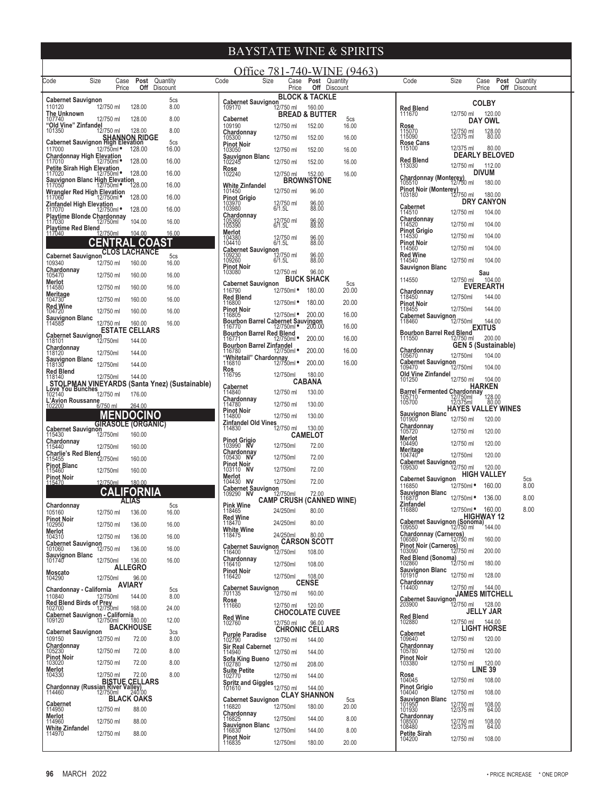|                                                                               |                        |                |                                      |                                                                   | Office 781-740-WINE (9463)                                              |                            |                                      |                |                                                        |                          |                                 |                                             |
|-------------------------------------------------------------------------------|------------------------|----------------|--------------------------------------|-------------------------------------------------------------------|-------------------------------------------------------------------------|----------------------------|--------------------------------------|----------------|--------------------------------------------------------|--------------------------|---------------------------------|---------------------------------------------|
| Code                                                                          | Size                   | Case<br>Price  | Post Quantity<br><b>Off</b> Discount |                                                                   | Code<br>Size                                                            | Case<br>Price              | Post Quantity<br><b>Off</b> Discount |                | Code                                                   | Size                     | Case<br>Price                   | <b>Post</b> Quantity<br><b>Off</b> Discount |
| Cabernet Sauvignon                                                            |                        |                |                                      | 5cs                                                               | <b>Cabernet Sauvignon</b>                                               |                            | <b>BLOCK &amp; TACKLE</b>            |                |                                                        |                          | <b>COLBY</b>                    |                                             |
| 110120<br>The Unknown                                                         | 12/750 ml              |                | 128.00                               | 8.00                                                              | 109170                                                                  | 12/750 ml                  | 160.00<br><b>BREAD &amp; BUTTER</b>  |                | <b>Red Blend</b><br>111670                             | 12/750 ml                | 120.00                          |                                             |
| 107740<br>"Old Vine" Zinfandel                                                | 12/750 ml              |                | 128.00                               | 8.00<br>8.00                                                      | <b>Cabernet</b><br>109190                                               | 12/750 ml                  | 152.00                               | 5cs<br>16.00   | Rose                                                   |                          | DAY OWL                         |                                             |
| 101350<br>SHANNON RIDGE<br>Cabernet Sauvignon High Elevation                  | 12/750 ml              |                | 128.00                               | 5 <sub>cs</sub>                                                   | Chardonnay<br>105300                                                    | 12/750 ml                  | 152.00                               | 16.00          | 115070<br>115090<br><b>Rose Cans</b>                   | 12/750 ml<br>12/375 ml   | 128.00<br>80.00                 |                                             |
| 117000                                                                        | 12/750ml ·             |                | 128.00                               | 16.00                                                             | <b>Pinot Noir</b><br>103050<br><b>Sauvignon Blanc</b>                   | 12/750 ml                  | 152.00                               | 16.00          | 115100                                                 | 12/375 ml                | 80.00<br><b>DEARLY BELOVED</b>  |                                             |
| Chardonnay High Elevation<br>117010 12/750ml<br>Petite Sirah High Elevation   |                        |                | 128.00                               | 16.00                                                             | 102245<br>Rose                                                          | 12/750 ml                  | 152.00                               | 16.00          | <b>Red Blend</b><br>113030                             | 12/750 ml                | 112.00                          |                                             |
| 117020<br>Sauvignon Blanc High Elevation                                      | 12/750ml ●             |                | 128.00                               | 16.00                                                             | 102240                                                                  | 12/750 ml                  | 152.00<br><b>BROWNSTONE</b>          | 16.00          | <b>Chardonnay (Monterey)</b>                           |                          | <b>DIVUM</b>                    |                                             |
| 117050<br>Wrangler Red High Elevation                                         | 12/750ml ●             |                | 128.00                               | 16.00                                                             | White Zinfandel<br>101450                                               | 12/750 ml                  | 96.00                                |                | 105510<br>Pinot Noir (Monterey)<br>103180<br>12/750 ml | 12/750 ml                | 180.00<br>180.00                |                                             |
| 117060<br>Zinfandel High Elevation                                            | 12/750ml •             |                | 128.00                               | 16.00                                                             | <b>Pinot Grigio</b><br>103970<br>103980                                 | 12/750 ml<br>6/1.5L        | 96.00<br>88.00                       |                | <b>Cabernet</b>                                        |                          | <b>DRY CANYON</b>               |                                             |
| 117070<br>Playtime Blonde Chardonnay<br>117030                                | 12/750ml •<br>12/750ml |                | 128.00<br>104.00                     | 16.00<br>16.00                                                    | Chardonnay                                                              |                            | 96.00                                |                | 114510<br>Chardonnay                                   | 12/750 ml                | 104.00                          |                                             |
| Playtime Red Blend<br>117040<br>12                                            | 2/750ml                |                | 104.00                               | 16.00                                                             | 105360<br>105390<br>Merlot                                              | 12/750 ml<br>6/1.5L        | 88.00                                |                | 114520<br><b>Pinot Grigio</b>                          | 12/750 ml                | 104.00                          |                                             |
|                                                                               | <b>CENTRAL</b>         |                | <b>COAST</b>                         |                                                                   | 104380<br>104410                                                        | 12/750 ml<br>6/1.5L        | 96.00<br>88.00                       |                | 114530<br><b>Pinot Noir</b>                            | 12/750 ml<br>12/750 ml   | 104.00<br>104.00                |                                             |
| <b>Cabernet Sauvignon</b>                                                     |                        |                | <b>CLOS LACHANCE</b>                 | 5cs                                                               | <b>Cabernet Sauvignon</b><br>109230<br>109260                           | 750 ml<br>12/750<br>6/1.5L | 96.00<br>88.00                       |                | 114560<br><b>Red Wine</b><br>114540                    | 12/750 ml                | 104.00                          |                                             |
| 109340<br>Chardonnay                                                          | 12/750 ml              |                | 160.00                               | 16.00                                                             | Pinot Noir<br>103080                                                    | 12/750 ml                  | 96.00                                |                | <b>Sauvignon Blanc</b>                                 |                          | Sau                             |                                             |
| 105470<br>Merlot                                                              | 12/750 ml<br>12/750 ml |                | 160.00<br>160.00                     | 16.00<br>16.00                                                    | <b>Cabernet Sauvignon</b>                                               |                            | <b>BUCK SHACK</b>                    | 5cs            | 114550                                                 | 12/750 ml                | 104.00<br><b>EVEREARTH</b>      |                                             |
| 114580<br>Meritage<br>104730                                                  | 12/750 ml              |                | 160.00                               | 16.00                                                             | 116790<br><b>Red Blend</b>                                              | 12/750ml •                 | 180.00                               | 20.00          | Chardonnay<br>118450                                   | 12/750ml                 | 144.00                          |                                             |
| <b>Red Wine</b><br>104720                                                     | 12/750 ml              |                | 160.00                               | 16.00                                                             | 116800<br><b>Pinot Noir</b>                                             | 12/750ml ·                 | 180.00                               | 20.00          | <b>Pinot Noir</b><br>118455                            | 12/750ml                 | 144.00                          |                                             |
| Sauvignon Blanc<br>114585                                                     | 12/750 ml              |                | 160.00                               | 16.00                                                             | 116805<br>Bourbon Barrel Cabernet Sauvingon<br>116770 12/750ml * 200.00 | 12/750ml •                 | 200.00                               | 16.00<br>16.00 | <b>Cabernet Sauvignon</b><br>118460                    | 12/750ml                 | 144.00                          |                                             |
| <b>Cabernet Sauvignon</b>                                                     |                        |                | <b>ESTATE CELLARS</b>                |                                                                   | Bourbon Barrel Red Blend<br>116771 12/750ml                             |                            | 200.00                               | 16.00          | Bourbon Barrel Red Blend EXITUS<br>111550              |                          | 200.00                          |                                             |
| 118101<br>Chardonnay                                                          | 12/750ml<br>12/750ml   |                | 144.00<br>144.00                     |                                                                   | Bourbon Barrel Zinfandel<br>116780 12/750ml                             |                            | 200.00                               | 16.00          | Chardonnay                                             |                          | <b>GEN 5 (Sustainable)</b>      |                                             |
| 118120<br>Sauvignon Blanc<br>118130                                           | 12/750ml               |                | 144.00                               |                                                                   | "Whitetail" Chardonnay<br>116810 12/750ml                               |                            | 200.00                               | 16.00          | 105670<br><b>Cabernet Sauvignon</b>                    | 12/750ml                 | 104.00                          |                                             |
| <b>Red Blend</b><br>118140                                                    | 12/750ml               |                | 144.00                               |                                                                   | <b>Ros</b><br>116795                                                    | 12/750ml                   | 180.00                               |                | 109470<br>Old Vine Zinfandel                           | 12/750ml                 | 104.00                          |                                             |
|                                                                               |                        |                |                                      | STOLPMAN VINEYARDS (Santa Ynez) (Sustainable)<br>Love You Bunches | <b>Cabernet</b><br>114840                                               | 12/750 ml                  | <b>CABANA</b><br>130.00              |                | 101250<br><b>Barrel Fermented Chardonnay</b>           | 12/750 ml                | 104.00<br><b>HARKEN</b>         |                                             |
| 102140<br>L'Avion Roussanne<br>102200                                         | 12/750 ml<br>6/750 ml  |                | 176.00                               |                                                                   | Chardonnay<br>114780                                                    | 12/750 ml                  | 130.00                               |                | 105710                                                 | 12/750ml<br>12/375ml     | 128.00<br>80.00                 |                                             |
|                                                                               |                        |                | 264.00<br><b>MENDOCINO</b>           |                                                                   | <b>Pinot Noir</b><br>114800                                             | 12/750 ml                  | 130.00                               |                | Sauvignon Blanc                                        |                          | <b>HAYES VALLEY WINES</b>       |                                             |
| <b>Cabernet Sauvignon</b>                                                     |                        |                | <b>GIRASOLE (ORGANIC)</b>            |                                                                   | Zinfandel Old Vines<br>114830                                           | 12/750 ml                  | 130.00                               |                | Chardonnay<br>105720                                   | 12/750 ml<br>12/750 ml   | 120.00<br>120.00                |                                             |
| 115430<br>Chardonnay                                                          | 12/750ml               |                | 160.00                               |                                                                   | Pinot Grigio<br>103990 NV                                               | 12/750ml                   | <b>CAMELOT</b><br>72.00              |                | Merlot<br>104490                                       | 12/750 ml                | 120.00                          |                                             |
| 115440<br><b>Charlie's Red Blend</b>                                          | 12/750ml               |                | 160.00                               |                                                                   | Chardonnay<br>105430 NV                                                 | 12/750ml                   | 72.00                                |                | Meritage<br>104740                                     | 12/750ml                 | 120.00                          |                                             |
| 115455<br><b>Pinot Blanc</b><br>115460                                        | 12/750ml<br>12/750ml   |                | 160.00<br>160.00                     |                                                                   | <b>Pinot Noir</b><br>103110 NV                                          | 12/750ml                   | 72.00                                |                | <b>Cabernet Sauvignon</b><br>109530                    | 12/750 ml                | 120.00                          |                                             |
| Pinot Noir<br>115470                                                          | 12/750ml               |                | 180.00                               |                                                                   | Merlot<br>104430<br>NV                                                  | 12/750ml                   | 72.00                                |                | <b>Cabernet Sauvignon</b>                              |                          | <b>HIGH VALLEY</b>              | 5cs                                         |
|                                                                               |                        |                | <b>.IFORNIA</b>                      |                                                                   | Cabernet Sauvignon<br>109290 NV 12                                      | 12/750ml                   | 72.00                                |                | 116850<br>Sauvignon Blanc<br>116870                    | 12/750ml ·<br>12/750ml · | 160.00<br>136.00                | 8.00<br>8.00                                |
| Chardonnay                                                                    |                        | ALIAS          |                                      | 5cs                                                               | <b>Pink Wine</b>                                                        | 24/250ml 80.00             | <b>CAMP CRUSH (CANNED WINE)</b>      |                | Zinfandel<br>116880                                    | 12/750ml •               | 160.00                          | 8.00                                        |
| 105160<br><b>Pinot Noir</b><br>102950                                         | 12/750 ml<br>12/750 ml |                | 136.00<br>136.00                     | 16.00<br>16.00                                                    | <b>Red Wine</b><br>118470                                               | 24/250ml                   | 80.00                                |                | Cabernet Sauvignon (Sonoma)<br>109550 12/750 ml        |                          | <b>HIGHWAY 12</b>               |                                             |
| Merlot<br>104310                                                              | 12/750 ml              |                | 136.00                               | 16.00                                                             | <b>White Wine</b><br>118475                                             | 24/250ml                   | 80.00                                |                | Chardonnay (Carneros)<br>106580 12/750 ml              |                          |                                 |                                             |
| <b>Cabernet Sauvignon</b><br>101060                                           | 12/750 ml              |                | 136.00                               | 16.00                                                             | <b>Cabernet Sauvignon</b>                                               |                            | <b>CARSON SCOTT</b>                  |                | Pinot Noir (Carneros)<br>103090 12750 ml               |                          | 160.00<br>200.00                |                                             |
| <b>Sauvignon Blanc</b><br>101740                                              | 12/750ml               |                | 136.00                               | 16.00                                                             | 116400<br>Chardonnay<br>116410                                          | 12/750ml<br>12/750ml       | 108.00<br>108.00                     |                | Red Blend (Sonoma)<br>102860 12/750 ml                 |                          | 180.00                          |                                             |
| Moscato                                                                       | 12/750ml               | <b>ALLEGRO</b> | 96.00                                |                                                                   | <b>Pinot Noir</b><br>116420                                             | 12/750ml                   | 108.00                               |                | Sauvignon Blanc<br>101910                              | 12/750 ml                | 128.00                          |                                             |
| 104290<br>Chardonnay - California                                             |                        | <b>AVIARY</b>  |                                      | 5cs                                                               | <b>Cabernet Sauvignon</b>                                               |                            | <b>CENSE</b>                         |                | Chardonnay<br>114400                                   | 12/750 ml                | 144.00                          |                                             |
| 110840                                                                        | 12/750ml               |                | 144.00                               | 8.00                                                              | 701135<br><b>Rose</b><br>111660                                         | 12/750 ml                  | 160.00                               |                | <b>Cabernet Sauvignon</b><br>203900                    | 12/750 ml                | <b>JAMES MITCHELL</b><br>128.00 |                                             |
| Red Blend Birds of Prey<br>102700 12/750ml<br>Cabernet Sauvignon - California |                        |                | 168.00                               | 24.00                                                             | <b>Red Wine</b>                                                         | 12/750 ml                  | 120.00<br><b>CHOCOLATE CUVEE</b>     |                | Red Blend                                              |                          | JELLY JAR                       |                                             |
| 109120                                                                        | 12/750ml               |                | 180.00<br><b>BACKHOUSE</b>           | 12.00                                                             | 102760                                                                  | 12/750 ml                  | 96.00<br><b>CHRONIC CELLARS</b>      |                | 102880                                                 | 12/750 ml                | 144.00<br><b>LIGHT HORSE</b>    |                                             |
| <b>Cabernet Sauvignon</b><br>109150                                           | 12/750 ml              |                | 72.00                                | 3cs<br>8.00                                                       | <b>Purple Paradise</b><br>102790                                        | 12/750 ml                  | 144.00                               |                | Cabernet<br>109640                                     | 12/750 ml                | 120.00                          |                                             |
| Chardonnay<br>105230<br><b>Pinot Noir</b>                                     | 12/750 ml              |                | 72.00                                | 8.00                                                              | <b>Sir Real Cabernet</b><br>114940                                      | 12/750 ml                  | 144.00                               |                | Chardonnay<br>105780<br><b>Pinot Noir</b>              | 12/750 ml                | 120.00                          |                                             |
| 103020<br>Merlot                                                              | 12/750 ml              |                | 72.00                                | 8.00                                                              | Sofa King Bueno<br>102780<br><b>Suite Petite</b>                        | 12/750 ml                  | 208.00                               |                | 103380                                                 | 12/750 ml                | 120.00<br><b>LINE 39</b>        |                                             |
| 104330                                                                        | 12/750 ml              |                | 72.00                                | 8.00                                                              | 102770<br><b>Spritz and Giggles</b>                                     | 12/750 ml                  | 144.00                               |                | <b>Rose</b><br>104045                                  | 12/750 ml                | 108.00                          |                                             |
| BISTUE CELLARS<br>Chardonnay (Russian River Valley)<br>114460 12/750ml 240.00 |                        |                |                                      |                                                                   | 101610                                                                  | 12/750 ml                  | 144.00<br><b>CLAY SHANNON</b>        |                | Pinot Grigio<br>104040                                 | 12/750 ml                | 108.00                          |                                             |
| Cabernet<br>114950                                                            | 12/750 ml              |                | <b>BLACK OAKS</b><br>88.00           |                                                                   | <b>Cabernet Sauvignon</b><br>116820                                     | 12/750ml                   | 180.00                               | 5cs<br>20.00   | <b>Sauvignon Blanc</b><br>101950<br>101930             | 12/750 ml<br>12/375 ml   | 108.00<br>64.00                 |                                             |
| Merlot<br>114960                                                              | 12/750 ml              |                | 88.00                                |                                                                   | Chardonnay<br>116825                                                    | 12/750ml                   | 144.00                               | 8.00           | Chardonnay                                             |                          |                                 |                                             |
| <b>White Zinfandel</b><br>114970                                              | 12/750 ml              |                | 88.00                                |                                                                   | <b>Sauvignon Blanc</b><br>116830                                        | 12/750ml                   | 144.00                               | 8.00           | 108500<br>108480<br>Petite Sirah                       | 12/750 ml<br>12/375 ml   | 108.00<br>64.00                 |                                             |
|                                                                               |                        |                |                                      |                                                                   | <b>Pinot Noir</b><br>116835                                             | 12/750ml                   | 180.00                               | 20.00          | 104200                                                 | 12/750 ml                | 108.00                          |                                             |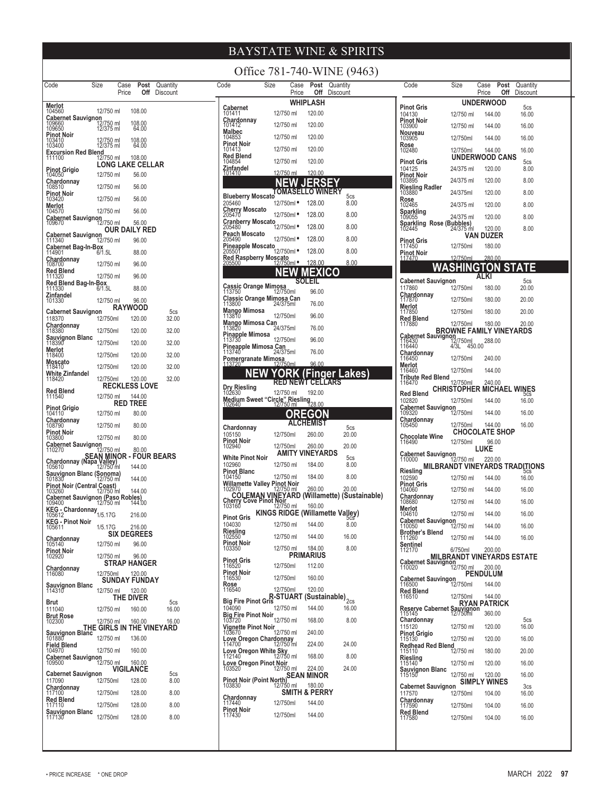| Code                                                                | Size                   | Case<br>Price        | Post<br>Off          | Quantity<br>Discount               |
|---------------------------------------------------------------------|------------------------|----------------------|----------------------|------------------------------------|
| Merlot<br>104560                                                    | 12/750 ml              |                      | 108.00               |                                    |
| Cabernet Sauvignon<br>109660 12<br>109650 12                        | 12/750 ml<br>12/375 ml |                      | 108.00               |                                    |
|                                                                     |                        |                      | 64.00                |                                    |
| <b>Pinot Noir</b><br>103410<br>103400                               | 12/750 ml<br>12/375 ml |                      | 108.00<br>64.00      |                                    |
| Excursion Red Blend<br>111100<br>12/                                | 12/750 ml              |                      | 108.00               |                                    |
| <b>Pinot Grigio</b>                                                 |                        | LONG LAKE CELLAR     |                      |                                    |
| 104050                                                              | 12/750 ml              |                      | 56.00                |                                    |
| Chardonnay<br>108510                                                | 12/750 ml              |                      | 56.00                |                                    |
| Pinot Noir<br>103420                                                | 12/750 ml              |                      | 56.00                |                                    |
| Merlot<br>104570                                                    | 12/750 ml              |                      | 56.00                |                                    |
| Cabernet Sauvignon<br>109670                                        | 12/750 ml              |                      | 56.00                |                                    |
|                                                                     |                        | OUR DAILY RED        |                      |                                    |
| Cabernet Sauvignon<br>12 <sup>1</sup> 11340                         | 12/750 ml              |                      | 96.00                |                                    |
| Cabernet Bag-In-Box<br>114901 6/1.5L                                |                        |                      | 88.00                |                                    |
| Chardonnay<br>108700                                                | 12/750 ml              |                      | 96.00                |                                    |
| Red Blend<br>111320                                                 | 12/750 ml              |                      | 96.00                |                                    |
| Red Blend Bag-In-Box<br>111330<br>6/11                              | 6/1.5L                 |                      | 88.00                |                                    |
| Zinfandel                                                           | 12/750 ml              |                      |                      |                                    |
| 101330                                                              |                        | <b>RAYWOOD</b>       | 96.00                |                                    |
| <b>Cabernet Sauvignon</b><br>118370                                 | 12/750ml               |                      | 120.00               | 5cs<br>32.00                       |
| Chardonnay<br>118380                                                | 12/750ml               |                      | 120.00               | 32.00                              |
| Sauvignon Blanc<br>118390                                           | 12/750ml               |                      | 120.00               | 32.00                              |
| Merlot<br>118400                                                    | 12/750ml               |                      | 120.00               | 32.00                              |
| Moscato<br>118410                                                   | 12/750ml               |                      | 120.00               | 32.00                              |
| White Zinfandel<br>118420                                           | 12/750ml               |                      | 120.00               | 32.00                              |
|                                                                     |                        | <b>RECKLESS LOVE</b> |                      |                                    |
| Red Blend<br>111540                                                 | 12/750 ml              |                      | 144.00               |                                    |
| <b>Pinot Grigio</b><br>104110                                       | 12/750 ml              | RED                  | <b>TREE</b><br>80.00 |                                    |
| <b>Chardonnay</b><br>108790                                         | 12/750 ml              |                      | 80.00                |                                    |
| <b>Pinot Noir</b>                                                   |                        |                      |                      |                                    |
| 103800<br>abernet Sauvignon:                                        | 12/750 ml              |                      | 80.00                |                                    |
| 110270<br>ìЕ                                                        | 12/750 ml              |                      | 80.00                | AN MINOR - FOUR BEARS<br>a Valley) |
| Chardonnay (Napa<br>105610                                          | 12/750 ml              |                      | 144.00               |                                    |
| Sauvignon Blanc (Sonoma)<br>101830                                  |                        |                      | 144.00               |                                    |
| Pinot Noir (Central Coast)<br>103260 12/750 ml                      |                        |                      | 144.00               |                                    |
| Cabernet Sauvignon (Paso Robles)<br>199400 12/750 ml 144.<br>109400 |                        |                      | 144.00               |                                    |
| ານ <sub>ອ∔ບບ</sub><br>KEG - Chardonnay<br>1/5.17G                   |                        |                      | 216.00               |                                    |
| <b>KEG - Pinot Noir</b><br>105611                                   | 1/5.17G                |                      | 216.00               |                                    |
| Chardonnay                                                          |                        | <b>SIX DEGREES</b>   |                      |                                    |
| 105140                                                              | 12/750 ml              |                      | 96.00                |                                    |
| Pinot Noir<br>102920                                                | 12/750 ml              |                      | 96.00                |                                    |
| Chardonnay<br>116080                                                |                        | <b>STRAP HANGER</b>  |                      |                                    |
|                                                                     | 12/750ml               | <b>SUNDAY FUNDAY</b> | 120.00               |                                    |
| Sauvignon Blanc<br>114310                                           | 12/750 ml              |                      | 120.00               |                                    |
| Brut                                                                |                        | THE DIVER            |                      | 5cs                                |
| 111040<br>Brut Rose<br>102300                                       | 12/750 ml              |                      | 160.00               | 16.00                              |
|                                                                     | 12/750 ml              |                      | 160.00               | 16.00<br>THE GIRLS IN THE VINEYARD |
| Sauvignon Blanc<br>101880                                           | 12/750 ml              |                      | 136.00               |                                    |
| Field Blend<br>104970                                               | 12/750 ml              |                      | 160.00               |                                    |
| <b>Cabernet Sauvignon</b><br>109500                                 | 12/750 ml              |                      | 160.00               |                                    |
| <b>Cabernet Sauvignon</b>                                           |                        | VIGILANCE            |                      | 5cs                                |
| 117090                                                              | 12/750ml               |                      | 128.00               | 8.00                               |
| Chardonnay<br>117100                                                | 12/750ml               |                      | 128.00               | 8.00                               |
| <b>Red Blend</b><br>117110                                          | 12/750ml               |                      | 128.00               | 8.00                               |
| <b>Sauvignon Blanc</b><br>117130                                    | 12/750ml               |                      | 128.00               | 8.00                               |
|                                                                     |                        |                      |                      |                                    |

|                                                                                                  |                                              |                                       | Office 781-740-WINE (9463) |  |
|--------------------------------------------------------------------------------------------------|----------------------------------------------|---------------------------------------|----------------------------|--|
| Code                                                                                             | Size<br>Case<br>Price                        | Post<br>Off                           | Quantity<br>Discount       |  |
| Cabernet                                                                                         |                                              | WHIPLASH                              |                            |  |
| 101411<br>Chardonnay                                                                             | 12/750 ml                                    | 120.00                                |                            |  |
| 101412<br>Malbec                                                                                 | 12/750 ml                                    | 120.00                                |                            |  |
| 104853<br>Pinot Noir<br>101413                                                                   | 12/750 ml<br>12/750 ml                       | 120.00<br>120.00                      |                            |  |
| Red Blend<br>104854                                                                              | 12/750 ml                                    | 120.00                                |                            |  |
| Zinfandel<br>101410                                                                              | 12/750 ml                                    | 120.00                                |                            |  |
|                                                                                                  |                                              | 33                                    |                            |  |
| <b>Blueberry Moscato</b>                                                                         | TOMASEL                                      | <b>LO WINERY</b>                      | 5cs                        |  |
| 205460<br>Cherry Moscato<br>205470                                                               | 12/750ml <b>*</b>                            | 128.00                                | 8.00                       |  |
| Cranberry Moscato<br>205480<br>12/750ml                                                          | 12/750ml •                                   | 128.00                                | 8.00                       |  |
| Peach Moscato                                                                                    | 12/750ml •                                   | 128.00<br>128.00                      | 8.00<br>8.00               |  |
| 205490<br>Pineapple Moscato<br>205501 12/750ml                                                   |                                              | 128.00                                | 8.00                       |  |
| Red Raspberry Moscato<br>205500 12/750ml                                                         |                                              | 128.00                                | 8.00                       |  |
|                                                                                                  |                                              | Ð                                     |                            |  |
| Cassic Orange Mimosa<br>113750 12/750ml                                                          |                                              | soleil                                |                            |  |
|                                                                                                  |                                              | 96.00                                 |                            |  |
| Mango Mimosa<br>113810                                                                           |                                              | 76.00                                 |                            |  |
| Mango Mimosa Can<br>113820                                                                       | 12/750ml<br>24/375ml                         | 96.00<br>76.00                        |                            |  |
| <b>Pinapple Mimosa</b><br>113730                                                                 | 12/750ml                                     | 96.00                                 |                            |  |
| Pineapple Mimosa Can<br>113740 24/375ml                                                          |                                              | 76.00                                 |                            |  |
|                                                                                                  |                                              | 96.00                                 |                            |  |
|                                                                                                  |                                              | inger                                 | .akes)<br>μ                |  |
| Dry Riesling<br>102630                                                                           | <b>RED NEWT</b><br>12/750 ml                 | <b>CELLARS</b><br>192.00              |                            |  |
| TU2030<br>Medium Sweet "Circle" Riesling<br>128.00 <u>12750 ml 128</u> .00<br>102640             |                                              |                                       |                            |  |
|                                                                                                  |                                              | (GO)                                  |                            |  |
| Chardonnay                                                                                       |                                              | <b>:HEMIST</b>                        | 5cs                        |  |
| 105150<br><b>Pinot Noir</b><br>102940                                                            | 12/750ml<br>12/750ml                         | 260.00<br>260.00                      | 20.00<br>20.00             |  |
| <b>White Pinot Noir</b>                                                                          |                                              | AMITY VINEYARDS                       | 5cs                        |  |
| 102960<br>Pinot Blanc                                                                            | 12/750 ml                                    | 184.00                                | 8.00                       |  |
| 104150<br>Willamette Valley Pinot Noir                                                           | 12/750 ml                                    | 184.00                                | 8.00                       |  |
| 102970                                                                                           | 12/750 ml                                    | 260.00                                | 20.00                      |  |
| COLEMAN VINEYARD (Willamette) (Sustainable)<br>Cherry Cove Pinot Noir<br>103160 12/750 ml 160.00 |                                              |                                       |                            |  |
| <b>Pinot Gris</b><br>104030                                                                      | KINGS RIDGE (Willamette Valley)<br>12/750 ml | 144.00                                | 8.00                       |  |
| Riesling<br>102550                                                                               | 12/750 ml                                    | 144.00                                | 16.00                      |  |
| Pinot Noir<br>103350                                                                             | 12/750 ml                                    | 184.00                                | 8.00                       |  |
| Pinot Gris<br>116520                                                                             |                                              | PRIMARIUS                             |                            |  |
| <b>Pinot Noir</b>                                                                                | 12/750ml                                     | 112.00                                |                            |  |
| 116530<br>Rose<br>116540                                                                         | 12/750ml<br>12/750ml                         | 160.00<br>120.00                      |                            |  |
| <b>Big Fire Pinot Gris</b>                                                                       |                                              | R-STŬÄRT (Sustainable) <sub>2cs</sub> |                            |  |
| 104090<br><b>Big Fire Pinot Noir</b>                                                             | 12/750 ml                                    | 144.00                                | 16.00                      |  |
| 103720                                                                                           | 12/750 ml                                    | 168.00                                | 8.00                       |  |
| Vignette Pinot Noir<br>103670<br>Love Oregon Chardonnay                                          | 12/750 ml                                    | 240.00                                |                            |  |
| 114700<br>Love Oregon White Sky<br>112140 12/750 ml                                              | 12/750 ml                                    | 224.00                                | 24.00                      |  |
| Love Oregon Pinot Noir<br>103520 12/750 ml                                                       |                                              | 168.00                                | 8.00                       |  |
| Pinot Noir (Point North) SEAN MINOR                                                              |                                              | 224.00                                | 24.00                      |  |
| 103830                                                                                           | 12/750 ml                                    | SMITH & PERRY                         |                            |  |
| Chardonnay<br>117440                                                                             | 12/750ml                                     | 144.00                                |                            |  |
| <b>Pinot Noir</b><br>117430                                                                      | 12/750ml                                     | 144.00                                |                            |  |
|                                                                                                  |                                              |                                       |                            |  |

| Code                                                              | Size                                         | Case<br>Price                   | Post<br>Off | Quantity<br>Discount  |  |
|-------------------------------------------------------------------|----------------------------------------------|---------------------------------|-------------|-----------------------|--|
| <b>Pinot Gris</b>                                                 |                                              | UNDERWOOD                       |             | 5cs                   |  |
| 104130<br><b>Pinot Noir</b>                                       | 12/750 ml                                    | 144.00                          |             | 16.00                 |  |
| 103900<br>Nouveau                                                 | 12/750 ml                                    | 144.00                          |             | 16.00                 |  |
| 103905<br>Rose                                                    | 12/750ml                                     | 144.00                          |             | 16.00                 |  |
| 102480                                                            | 12/750ml                                     | 144.00<br><b>UNDERWOOD CANS</b> |             | 16.00                 |  |
| <b>Pinot Gris</b><br>104125                                       | 24/375 ml                                    | 120.00                          |             | 5cs<br>8.00           |  |
| Pinot Noir<br>103895                                              | 24/375 ml                                    | 120.00                          |             | 8.00                  |  |
| Riesling Radler<br>103880                                         | 24/375ml                                     | 120.00                          |             | 8.00                  |  |
| Rose<br>102465                                                    | 24/375 ml                                    | 120.00                          |             | 8.00                  |  |
| <b>Sparkling</b><br>109055                                        | 24/375 ml                                    | 120.00                          |             | 8.00                  |  |
| Sparkling Rose (Bubbles)<br>102445                                | 24/375 ml                                    | 120.00<br>VAN DUZER             |             | 8.00                  |  |
| Pinot Gris<br>117450                                              | 12/750ml                                     | 180.00                          |             |                       |  |
| Pinot Noir<br>117470                                              | 12/750ml                                     | 280.00                          |             |                       |  |
|                                                                   |                                              |                                 |             |                       |  |
| <b>Cabernet Sauvignon</b>                                         |                                              | ALKI                            |             | 5cs                   |  |
| 117860<br>Chardonnay                                              | 12/750ml                                     | 180.00                          |             | 20.00                 |  |
| 117870<br>Merlot<br>117850                                        | 12/750ml<br>12/750ml                         | 180.00<br>180.00                |             | 20.00<br>20.00        |  |
| Red Blend<br>117880                                               | 12/750ml                                     | 180.00                          |             | 20.00                 |  |
|                                                                   | BROWNE FAMILY VINEYARDS                      |                                 |             |                       |  |
| Cabernet Sauvignon<br>116430 12/750ml<br>116440 4/3L 45           | 450.00                                       | 288.00                          |             |                       |  |
| <b>Chardonnay</b><br>116450                                       | 12/750ml                                     | 240.00                          |             |                       |  |
| Merlot<br>116460                                                  | 12/750ml                                     | 144.00                          |             |                       |  |
| Tribute Red Blend<br>116470                                       | 12/750ml                                     | 240.00                          |             |                       |  |
| Red Blend<br>102820                                               | CHRISTOPHER MICHAEL<br>12/750ml              | 144.00                          |             | WINES<br>5cs<br>16.00 |  |
| Cabernet Sauvignon<br>12 <sup>09320</sup>                         | 12/750ml                                     | 144.00                          |             | 16.00                 |  |
| <b>Chardonnay</b><br>105450                                       | 12/750ml                                     | 144.00                          |             | 16.00                 |  |
| Chocolate Wine                                                    |                                              | <b>CHOCOLATE SHOP</b>           |             |                       |  |
| 116490<br><b>Cabernet Sauvignon</b>                               | 12/750ml                                     | 96.00<br><b>LUKE</b>            |             |                       |  |
| 110000                                                            | 12/750 ml<br>MILBRANDT VINEYARDS TRADITIONS  | 220.00                          |             |                       |  |
| Riesling<br>102590                                                | 12/750 ml                                    | 144.00                          |             | CS<br>16.00           |  |
| <b>Pinot Gris</b><br>104060                                       | 12/750 ml                                    | 144.00                          |             | 16.00                 |  |
| Chardonnay<br>108680                                              | 12/750 ml                                    | 144.00                          |             | 16.00                 |  |
| Merlot<br>104610                                                  | 12/750 ml                                    | 144.00                          |             | 16.00                 |  |
| <b>Cabernet Sauvignon</b><br>110050<br><b>Brother's Blend</b>     | 12/750 ml                                    | 144.00                          |             | 16.00                 |  |
| 111260                                                            | 12/750 ml                                    | 144.00                          |             | 16.00                 |  |
| Sentinel<br>112170                                                | 6/750ml<br><b>MILBRANDT VINEYARDS ESTATE</b> | 200.00                          |             |                       |  |
| Cabernet Sauvignon                                                |                                              | 200.00                          |             |                       |  |
| Cabernet Sauvingon<br>12 <sup>16500</sup>                         | 12/750ml                                     | <b>PENDULUM</b><br>144.00       |             |                       |  |
| Red Blend<br>116510                                               | 12/750ml                                     | 144.00                          |             |                       |  |
| RYAN PATRICK<br>115145<br>115145 - 12/750ml<br>12/750ml<br>360.00 |                                              |                                 |             |                       |  |
| Chardonnay                                                        |                                              |                                 |             | 5cs                   |  |
| 115120                                                            | 12/750 ml                                    | 120.00                          |             | 16.00                 |  |
| Pinot Grigio<br>115130                                            | 12/750 ml                                    | 120.00                          |             | 16.00                 |  |
| Redhead Red Blend<br>115110<br>Riesling<br>115140                 | 12/750 ml                                    | 180.00                          |             | 20.00                 |  |
| <b>Sauvignon Blanc</b><br>115150                                  | 12/750 ml                                    | 120.00                          |             | 16.00                 |  |
|                                                                   | 12/750 ml                                    | 120.00<br><b>SIMPLY WINES</b>   |             | 16.00                 |  |
| <b>Cabernet Sauvignon</b><br>117570                               | 12/750ml                                     | 104.00                          |             | 3cs<br>16.00          |  |
| <u>Chardonnay</u><br>117590                                       | 12/750ml                                     | 104.00                          |             | 16.00                 |  |
| Red Blend<br>117580                                               | 12/750ml                                     | 104.00                          |             | 16.00                 |  |
|                                                                   |                                              |                                 |             |                       |  |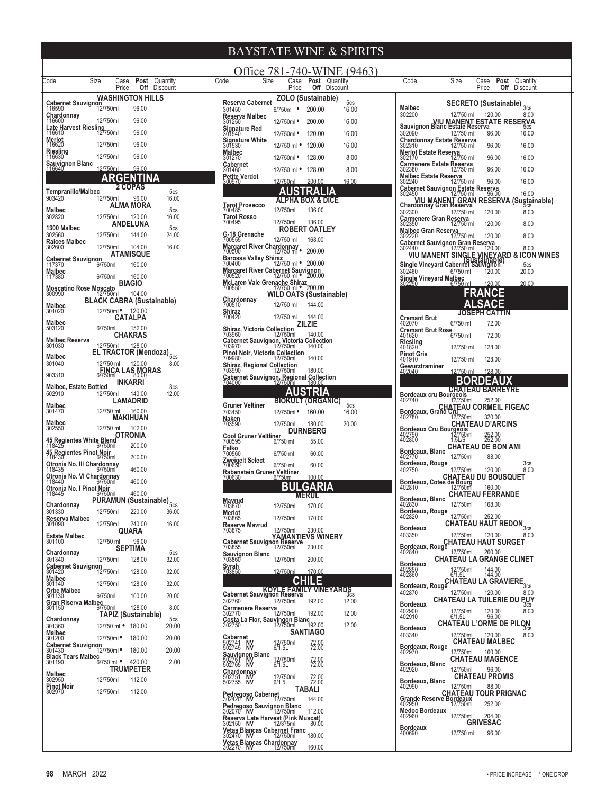| Size<br>Code<br><b>Post</b> Quantity<br>Case<br><b>Off</b> Discount | Office 781-740-WINE (9463)<br>Code<br>Size<br>Case <b>Post</b> Quantity<br><b>Off</b> Discount    | Size<br>Code<br><b>Post</b> Quantity<br>Case<br><b>Off</b> Discount                                              |
|---------------------------------------------------------------------|---------------------------------------------------------------------------------------------------|------------------------------------------------------------------------------------------------------------------|
| Price<br><b>WASHINGTON HILLS</b>                                    | Price<br>ZOLO (Sustainable)                                                                       | Price                                                                                                            |
| <b>Cabernet Sauvignon</b><br>116590<br>12/750ml<br>96.00            | <b>Reserva Cabernet</b><br>5cs<br>16.00<br>301450<br>200.00<br>$6/750ml$ $\bullet$                | SECRETO (Sustainable) 3cs<br>Malbec                                                                              |
| Chardonnay<br>12/750ml<br>96.00<br>116600                           | Reserva Malbec<br>200.00<br>16.00<br>301250<br>12/750ml •                                         | 302200<br>8.00<br>12/750 ml<br>120.00<br><b>Sauvignon Blanc Estate Reserva</b><br>Sauvignon Blanc Estate Reserva |
| Late Harvest Riesling<br>12750ml<br>96.00                           | <b>Signature Red</b><br>120.00<br>16.00<br>301540<br>12/750ml •                                   | 302090<br>12/750 ml<br>96.00<br>16.00                                                                            |
| Merlot<br>12/750ml<br>96.00<br>116620                               | <b>Signature White</b><br>120.00<br>16.00<br>301530<br>12/750 ml •                                | Chardonnay Estate Reserva<br>96.00<br>16.00<br>302310<br>12/750 ml                                               |
| Riesling<br>12/750ml<br>96.00<br>116630                             | Malbec<br>8.00<br>128.00<br>301270<br>12/750ml •                                                  | <b>Merlot Estate Reserva</b><br>96.00<br>16.00<br>302170<br>12/750 ml                                            |
| Sauvignon Blanc<br>116640<br>12/750ml<br>96.00                      | Cabernet<br>8.00<br>128.00<br>301460<br>12/750 ml •                                               | Carmenere Estate Reserva<br>96.00<br>16.00<br>302380<br>12/750 ml                                                |
| ARGENTINA                                                           | Petite Verdot<br>12/750ml<br>200.00<br>16.00<br>300970                                            | <b>Malbec Estate Reserva</b><br>16.00<br>96.00<br>302240<br>12/750 ml                                            |
| 2 COPAS<br><b>Tempranillo/Malbec</b><br>5 <sub>cs</sub>             | AUSTRALIA                                                                                         | Cabernet Sauvignon Estate Reserva<br>302450 12/750 ml 96.00<br>16.00<br>96.00                                    |
| 903420<br>12/750ml<br>96.00<br>16.00<br>ALMA MORA                   | <b>ALPHA BOX &amp; DICE</b><br><b>Tarot Prosecco</b>                                              | VIU MANENT GRAN RESERVA (Sustainable)<br>Chardonnay Gran Reserva                                                 |
| Malbec<br>5cs<br>12/750ml<br>120.00<br>16.00<br>302820              | 12/750ml<br>136.00<br>700485<br><b>Tarot Rosso</b>                                                | 302300<br>8.00<br>12/750 ml<br>120.00                                                                            |
| <b>ANDELUNA</b><br>1300 Malbec<br>5cs                               | 12/750ml<br>700495<br>136.00<br><b>ROBERT OATLEY</b>                                              | Carmenere Gran Reserva<br>8.00<br>302350<br>120.00<br>12/750 ml                                                  |
| 12/750ml<br>144.00<br>24.00<br>302560                               | G-18 Grenache<br>12/750 ml<br>168.00<br>700555                                                    | Malbec Gran Reserva<br>8.00<br>12/750 ml<br>120.00<br>302220                                                     |
| <b>Raices Malbec</b><br>12/750ml<br>104.00<br>16.00<br>302600       | Margaret River Chardonnay<br>700500 12/750 ml<br>200.00                                           | Cabernet Sauvignon Gran Reserva<br>8.00<br>12/750 ml<br>302440<br>120.00                                         |
| ATAMISQUE<br><b>Cabernet Sauvignon</b>                              | Barossa Valley Shiraz<br>12/750 ml • 200.00<br>700400                                             | VIU MANENT SINGLE VINEYARD & ICON WINES<br>Single Vineyard Cabernet Sauvignon                                    |
| 160.00<br>117370<br>6/750ml<br>Malbec                               | Margaret River Cabernet Sauvignon<br>700520<br>12/750 ml • 200.00                                 | 5cs<br>20.00<br>302460<br>6/750 ml<br>120.00                                                                     |
| 117380<br>6/750ml<br>160.00<br><b>BIAGIO</b>                        | McLaren Vale Grenache Shiraz<br>700550<br>12/750 ml • 200.00                                      | Single Vineyard Malbec<br>120.00<br>20.00<br>6/750 ml                                                            |
| Moscatino Rose Moscato<br>300990 12/750m<br>12/750ml<br>104.00      | WILD OATS (Sustainable)                                                                           | <b>FRANCE</b>                                                                                                    |
| <b>BLACK CABRA (Sustainable)</b><br>Malbec                          | Chardonnay<br>12/750 ml<br>700510<br>144.00                                                       | <b>SACE</b>                                                                                                      |
| 12/750ml • 120.00<br>301020<br><b>CATALPA</b>                       | Shiraz<br>144.00<br>700420<br>12/750 ml                                                           | <b>JOSEPH CATTIN</b><br>Cremant Brut                                                                             |
| Malbec<br>6/750ml<br>152.00<br>503120                               | ZILZIE<br><b>Shiraz. Victoria Collection</b>                                                      | 6/750 ml<br>72.00<br>402070<br><b>Cremant Brut Rose</b>                                                          |
| <b>CHAKRAS</b><br><b>Malbec Reserva</b>                             | 140.00<br>703960<br>12/750ml<br>Cabernet Sauvignon, Victoria Collection<br>703970 12/750ml 140.00 | 6/750 ml<br>72.00<br>401620<br>Riesling                                                                          |
| 12/750ml<br>128.00<br>301030<br>EL TRACTOR (Mendoza) <sub>5cs</sub> | Pinot Noir, Victoria Collection<br>709980 12/750ml                                                | 401820<br>12/750 ml<br>128.00                                                                                    |
| Malbec<br>12/750 ml<br>120.00<br>8.00<br>301040                     | 140.00<br>Shiraz, Regional Collection                                                             | Pinot Gris<br>401910<br>12/750 ml<br>128.00<br>Gewurztraminer                                                    |
| <b>EINCA LAS MORAS</b><br>903310                                    | 180.00<br>703990<br>12/750ml<br>Cabernet Sauvignon, Regional Collection                           | 12/750 ml<br>128.00<br>402040                                                                                    |
| <b>INKARRI</b><br><b>Malbec, Estate Bottled</b><br>3 <sub>cs</sub>  | 704000<br>180.00<br>12/750ml                                                                      | <b>BORDEAUX</b><br><b>CHATEAU BARREYRE</b>                                                                       |
| 12.00<br>502910<br>12/750ml<br>140.00<br>LAMADRID                   | AUSTRIA<br><b>BIOKULT (ORGANIC)</b>                                                               | Bordeaux cru Bourgeois<br>402740<br>12/750ml<br>252.00                                                           |
| Malbec<br>12/750 ml<br>160.00<br>301470                             | 5cs<br>Gruner Veltiner<br>16.00<br>703450<br>12/750ml ·<br>160.00                                 | <b>CHATEAU CORMEIL FIGEAC</b><br>A02780.ux, Grand Crunson                                                        |
| MAKIHUAN<br>Malbec                                                  | <b>Naken</b><br>703590<br>12/750ml<br>180.00<br>20.00                                             | 320.00<br>402780<br>12/750ml<br><b>CHATEAU D'ARCINS</b>                                                          |
| 102.00<br>302550<br>12/750 ml<br>OTRONIA                            | <b>DURNBERG</b>                                                                                   | Bordeaux Cru Bourgeois<br>12/750ml                                                                               |
| 45 Regientes White Blend<br>118425 6/750ml<br>200.00                | Cool Gruner Veltliner<br>700595 6/7<br>6/750 ml<br>55.00                                          | 402790<br>402800<br>252.00<br>252.00<br>1.5L/6<br><b>CHATEAU DE BON AMI</b>                                      |
| 45 Regientes Pinot Noir<br>200.00<br>118430<br>6/750ml              | <b>Falko</b><br>700560<br>6/750 ml<br>60.00                                                       | Bordeaux, Blanc<br>12/750ml<br>402770<br>88.00                                                                   |
| Otronia No. III Chardonnay<br>460.00<br>118435<br>$6/750$ ml        | Zweigelt Select<br>700650<br>6/750 ml<br>60.00                                                    | Bordeaux, Rouge<br>3 <sub>cs</sub><br>402750<br>8.00<br>12/750ml<br>120.00                                       |
| Otronia No. VI Chardonnay<br>460.00                                 | <u>Raben</u> stein Gruner <u>Veltlin</u> er<br>100.00<br>700630<br>6/750ml                        | CHATEAU DU BOUSQUET<br>Bordeaux, Cotes de Bourg<br>402810 12/750ml 160.00                                        |
| 118440<br>6/750ml<br>Otronia No. I Pinot Noir                       | BULGARIA                                                                                          |                                                                                                                  |
| 460.00<br>118445<br>6/750ml<br>PÜRÄMUN (Sustainable) <sub>5cs</sub> | <b>MERUL</b><br>Mavrud                                                                            | <b>CHATEAU FERRANDE</b><br>Bordeaux, Blanc<br>12/750ml<br>168.00                                                 |
| Chardonnay<br>220.00<br>12/750ml<br>301330<br>36.00                 | 12/750ml<br>170.00<br>703870<br>Merlot                                                            | 402830<br>Bordeaux, Rouge<br>12/750ml<br>252.00                                                                  |
| Reserva Malbec<br>12/750ml<br>240.00<br>16.00<br>301090             | 12/750ml<br>170.00<br>703865<br><b>Reserve Mavrud</b>                                             | 402820<br>CHATEAU HAUT REDON $_{3cs}$<br><b>Bordeaux</b>                                                         |
| QUARA<br><b>Estate Malbec</b>                                       | 12/750ml<br>230.00<br>703875                                                                      | 403350<br>12/750ml<br>120.00<br>8.00                                                                             |
| 12/750 ml<br>96.00<br>301100<br><b>SEPTIMA</b>                      | YAMANTIEVS WINERY<br>Cabernet Sauvignon Reserve<br>703855<br>230.00 230.00                        | <b>CHATEAU HAUT SURGET</b><br>Bordeaux, Rouge                                                                    |
| Chardonnay<br>5cs<br>301340<br>12/750ml<br>128.00<br>32.00          | Sauvignon Blanc<br>12/750ml<br>703860<br>200.00                                                   | 12/750ml<br>260.00<br>402840<br><b>CHATEAU LA GRANGE CLINET</b>                                                  |
| <b>Cabernet Sauvignon</b><br>301420<br>12/750ml<br>128.00<br>32.00  | <b>Syrah</b><br>703850<br>12/750ml<br>170.00                                                      | <b>Bordeaux</b><br>12/750ml<br>6/1.5L<br>402850<br>402860<br>144.00<br>144.00                                    |
| Malbec<br>12/750ml<br>128.00<br>301140<br>32.00                     | <b>CHILE</b>                                                                                      | Bordeaux, Rouge CHATEAU LA GRAVIERE <sub>3cs</sub>                                                               |
| <b>Orbe Malbec</b><br>6/750ml<br>100.00<br>20.00<br>301130          | Cabernet Sauvignon Reservative VINEYARDS                                                          | 402870<br>12/750ml<br>120.00<br>8.00                                                                             |
| <b>Gran Riserva Malbec</b><br>6/750ml<br>128.00<br>8.00<br>301150   | 302760<br>12/750ml<br>12.00<br>192.00<br>Carmenere Reserva                                        | <b>CHATEAU LA TUILERIE DU PUY</b><br><b>Bordeaux</b><br>3CS                                                      |
| <b>TAPIZ (Sustainable)</b><br>Chardonnay<br>5cs                     | 12/750ml<br>12.00<br>192.00<br>302770                                                             | 402900<br>402910<br>8.00<br>12/750ml<br>6/1.5L<br>120.00<br>96.00                                                |
| 12/750 ml • 180.00<br>301360<br>20.00                               | Costa La Flor, Sauvingon Blanc<br>192.00<br>12/750ml<br>12.00<br>302750                           | <b>CHATEAU L'ORME DE PILON</b><br>Bordeaux                                                                       |
| <b>Malbec</b><br>12/750ml •<br>180.00<br>20.00<br>301200            | <b>SANTIAGO</b><br>Cabernet                                                                       | 403340<br>12/750ml<br>120.00<br>8.00<br><b>CHATEAU MALBEC</b>                                                    |
| SUTEDU<br>Cabernet Sauvignon<br>2014/30 12/750ml<br>180.00<br>20.00 | 502741 NV<br>502745 NV<br>12/750ml<br>6/1.5L<br>72.00<br>72.00<br>Sauvignon Blanc                 | Bordeaux, Rouge<br>12/750ml<br>160.00<br>402970                                                                  |
| <b>Black Tears Malbec</b><br>6/750 ml • 420.00<br>301190<br>2.00    | 12/750ml<br>6/1.5L<br>502761 NV<br>72.00<br>72.00                                                 | <b>CHATEAU MAGENCE</b><br>Bordeaux, Blanc                                                                        |
| <b>TRUMPETER</b><br>Malbec                                          | <b>Chardonnay</b><br>502751 NV<br>502755 NV                                                       | 12/750ml<br>96.00<br>402920<br><b>CHATEAU PROMIS</b>                                                             |
| 12/750ml<br>112.00<br>302950<br>Pinot Noir                          | 12/750ml<br>6/1.5L<br>72.00<br>72.00<br><b>TABALI</b>                                             | Bordeaux, Blanc<br>12/750ml<br>88.00<br>402990                                                                   |
| 12/750ml<br>112.00<br>302970                                        | Pedregoso Cabernet<br>302420 NV<br>12/750ml<br>144.00                                             | <b>CHATEAU TOUR PRIGNAC</b><br>Grande Reserve Bordeaux                                                           |
|                                                                     | Pedregoso Sauvignon Blanc<br>302070 NV<br>112.00                                                  | 252.00<br>402950<br>12/750ml<br><b>Medoc Bordeaux</b>                                                            |
|                                                                     | 12/750ml<br>Reserva Late Harvest (Pink Muscat)<br>302150 NV 12/375ml 80.00                        | 12/750ml<br>204.00<br>402960<br><b>GRIVESAC</b>                                                                  |
|                                                                     | 80.00<br><b>Vetas Blancas Cabernet Franc</b>                                                      | <b>Bordeaux</b><br>12/750 ml<br>96.00<br>400690                                                                  |
|                                                                     | 302470 NV<br>180.00<br>12/750ml<br><b>Vetas Blancas Chardonnay</b>                                |                                                                                                                  |
|                                                                     | 302270 NV<br>160.00<br>12/750ml                                                                   |                                                                                                                  |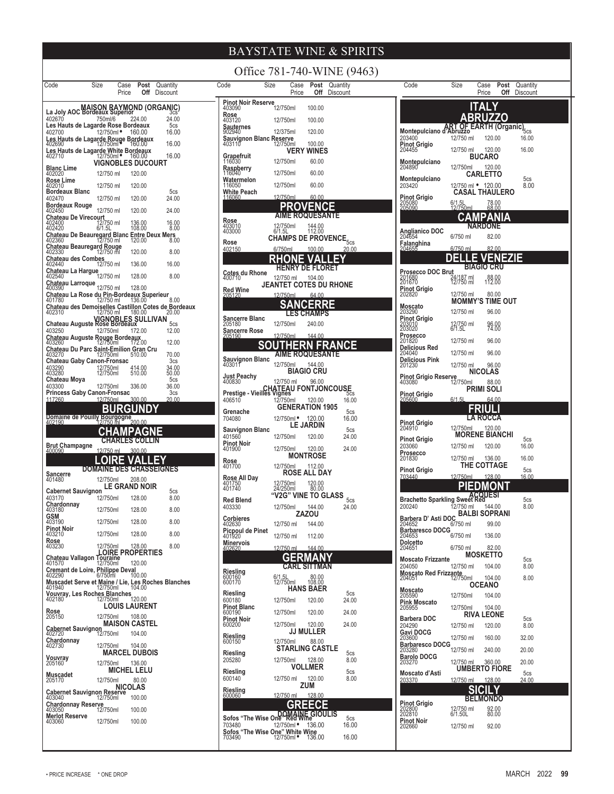| Code                                                                         | Size                 | Case<br>Price           | Post<br>Off               | Quantity<br>Discount           |  |
|------------------------------------------------------------------------------|----------------------|-------------------------|---------------------------|--------------------------------|--|
| La Joly AOC                                                                  |                      |                         |                           | MAISON RAYMOND (ORGANIC)       |  |
| 402670<br>Les Hauts de Lagarde Rose Bordeaux                                 | 750ml/6              |                         | 224.00                    | 24.00<br>5cs                   |  |
| 402700                                                                       | 12/750ml •           |                         | 160.00                    | 16.00                          |  |
| es Hauts de Lagarde Rouge Bordeaux.<br>02690 12/750ml<br>402690              |                      |                         |                           | 16.00                          |  |
| Les Hauts de Lagarde White Bordeaux<br>402710 12/750ml * 160.00              |                      |                         |                           | 16.00                          |  |
| <b>Blanc Lime</b>                                                            | 12/750 ml            | VIGNOBLES DUCOURT       | 120.00                    |                                |  |
| 402020<br><b>Rose Lime</b><br>402010                                         | 12/750 ml            |                         | 120.00                    |                                |  |
| <b>Bordeaux Blanc</b>                                                        |                      |                         |                           | 5cs                            |  |
| 402470<br><b>Bordeaux Rouge</b>                                              | 12/750 ml            |                         | 120.00                    | 24.00                          |  |
| 402450                                                                       | 12/750 ml            |                         | 120.00                    | 24.00                          |  |
| <b>Chateau De Virecourt</b><br>402400   12/750 ml<br>402420   6/1.5L         |                      |                         | 136.00<br>108.00          | 16.00<br>8.00                  |  |
| Chateau De Beauregard Blanc<br>402360 12/750 ml                              |                      |                         | 120.00                    | <b>Entre Deux Mers</b><br>8.00 |  |
| hateau Beauregard Rouge:<br>402330                                           | 12/750 ml            |                         | 120.00                    | 8.00                           |  |
| Chateau des Combes<br>402440                                                 | 12/750 ml            |                         | 136.00                    | 16.00                          |  |
| AUZHTV<br><b>Chateau La Hargue</b><br>12/750 ml                              |                      |                         | 128.00                    | 8.00                           |  |
| Chateau Larroque<br>400390<br>Chateau La Rose du Pin-Bordeaux Superieur      | 12/750 ml            |                         | 128.00                    |                                |  |
| 401780                                                                       | 12/750 ml            |                         | 136.00                    | 8.00                           |  |
| Chateau des Demoiselles Castillon Cotes de Bordeaux<br>402310                | 12/750 ml            |                         | 180.00                    | 20.00                          |  |
| VIGNOBLES SULLIVAN<br>Chateau Auguste Rose Bordeaux<br>403250                | 12/750ml             |                         | 172.00                    | 5 <sub>cs</sub><br>12.00       |  |
| Chateau Auguste Rouge Bordeaux<br>403260 - 12/750ml 172.00                   |                      |                         |                           | 12.00                          |  |
| Chateau Du Parc Saint-Emilion<br>403270                                      | 12/750ml             |                         | <b>Gran Cru</b><br>510.00 | 70.00                          |  |
| <b>Chateau Gaby Canon-Fronsac</b>                                            |                      |                         |                           | 3 <sub>cs</sub>                |  |
| 403290<br>403280                                                             | 12/750ml<br>12/750ml |                         | 414.00<br>510.00          | 34.00<br>$\overline{50.00}$    |  |
| Chateau Moya<br>403300                                                       | 12/750ml             |                         | 336.00                    | 5cs<br>36.00                   |  |
| <b>Princess Gaby Canon-Fronsac</b><br><u> 117260</u>                         | 12/750ml             |                         | 300.00                    | 3cs<br>20.00                   |  |
|                                                                              |                      | c                       |                           |                                |  |
| Domaine de Pouilly Bourgogne<br>302190 12/750 ml<br>402190                   |                      |                         | 200.00                    |                                |  |
|                                                                              |                      | F<br>s                  | <b>CO</b>                 |                                |  |
| <b>Brut Champagne</b><br>400090                                              | 12/750 ml            |                         | 300.00                    |                                |  |
|                                                                              |                      |                         | A                         |                                |  |
| <b>Sancerre</b><br>401480                                                    | <b>DOMAINE</b>       | DE                      |                           | <b>CHASSEIGNES</b>             |  |
|                                                                              | 12/750ml             | <b>GRAND NOIR</b>       | 208.00                    |                                |  |
| <b>Cabernet Sauvignon</b><br>403170                                          | 12/750ml             |                         | 128.00                    | 5cs<br>8.00                    |  |
| Chardonnay<br>403180                                                         | 12/750ml             |                         | 128.00                    | 8.00                           |  |
| <b>GSM</b><br>403190                                                         | 12/750ml             |                         | 128.00                    | 8.00                           |  |
| <b>Pinot Noir</b><br>403210                                                  | 12/750ml             |                         | 128.00                    | 8.00                           |  |
| Rose<br>403230                                                               | 12/750ml             |                         | 128.00                    | 8.00                           |  |
| Chateau Vallagon<br>401570                                                   | Touraine<br>12/750ml | <b>LOIRE PROPERTIES</b> | 120.00                    |                                |  |
| Cremant de Loire, Philippe Deval<br>402290 6/750ml 10<br>402290              |                      |                         | 100.00                    |                                |  |
| Muscadet Serve et Maine / Lie, Les Roches Blanches<br>401940 12/750ml 104.00 |                      |                         |                           |                                |  |
| Vouvray, Les Roches Blanches<br>402180 12/750ml 120.00<br>402180             |                      |                         |                           |                                |  |
|                                                                              |                      | <b>LOUIS LAURENT</b>    |                           |                                |  |
| <b>Rose</b><br>205150                                                        | 12/750ml             | <b>MAISON CASTEL</b>    | 108.00                    |                                |  |
| <b>Cabernet Sauvignon</b><br>402720                                          | 12/750ml             |                         | 104.00                    |                                |  |
| Chardonnay<br>402730                                                         | 12/750ml             |                         | 104.00                    |                                |  |
| Vouvray                                                                      |                      | <b>MARCEL DUBOIS</b>    |                           |                                |  |
| 205160                                                                       | 12/750ml             | MICHEL LELU             | 136.00                    |                                |  |
| Muscadet<br>205170                                                           | 12/750ml             |                         | 80.00                     |                                |  |
| Cabernet Sauvignon Reserve                                                   |                      | NICOLAS                 |                           |                                |  |
| 403040<br>Chardonnay Reserve                                                 | 12/750ml             |                         | 100.00                    |                                |  |
| 403050<br><b>Merlot Reserve</b>                                              | 12/750ml             |                         | 100.00                    |                                |  |
| 403060                                                                       | 12/750ml             |                         | 100.00                    |                                |  |
|                                                                              |                      |                         |                           |                                |  |

| Office 781-740-WINE (9463)                                         |                                                         |                             |                      |  |
|--------------------------------------------------------------------|---------------------------------------------------------|-----------------------------|----------------------|--|
| Code<br>Size                                                       | Case<br>Price                                           | Post<br>Off                 | Quantity<br>Discount |  |
| Pinot Noir Reserve<br>Rose                                         | 12/750ml                                                | 100.00                      |                      |  |
| 403120<br>Sauternes                                                | 12/750ml                                                | 100.00                      |                      |  |
| 902940<br>Sauvignon Blanc Reserve<br>403110 12/750m                | 12/375ml                                                | 120.00                      |                      |  |
|                                                                    | 12/750ml                                                | 100.00<br><b>VERY WINES</b> |                      |  |
| Grapefruit<br>116030<br>Raspberry<br>116040                        | 12/750ml                                                | 60.00                       |                      |  |
| Watermelon<br>116050                                               | 12/750ml<br>12/750ml                                    | 60.00<br>60.00              |                      |  |
| White Peach<br>116060                                              | 12/750ml                                                | 60.00                       |                      |  |
|                                                                    | PR(                                                     | I(                          |                      |  |
| <b>Rose</b><br>403010<br>403000                                    | <b>AIME ROQUESANTE</b><br>12/750ml<br>6/1.5L            | 144.00<br>112.00            |                      |  |
| Rose                                                               | $\widetilde{\text{cHamPS}}$ de provence $_{5\text{cs}}$ |                             |                      |  |
| 402150                                                             | 6/750ml                                                 | <u>100.00</u>               | <u> 20.00</u>        |  |
|                                                                    | RHON                                                    | ∥'<br>HENRY DE FLORET       |                      |  |
| Cotes du Rhone<br>400710                                           | 12/750 ml<br><b>JEANTET COTES DU RHONE</b>              | 104.00                      |                      |  |
| <b>Red Wine</b><br>205120                                          | 12/750ml                                                | 64.00                       |                      |  |
|                                                                    |                                                         | <b>ES CHAMPS</b>            |                      |  |
| Sancerre Blanc<br>205180                                           | 12/750ml                                                | 240.00                      |                      |  |
| Sancerre Rose<br>205190                                            | <u>12/750ml</u>                                         | 144.00                      |                      |  |
|                                                                    | ΤH<br>AIME ROQUESANTE                                   | V<br>ER,<br>Д               |                      |  |
| Sauvignon Blanc<br>403011                                          | 12/750ml                                                | 144.00<br>BIAGIO CRU        |                      |  |
| Just Peachy<br>400830                                              | 12/750 ml                                               | 96.00                       |                      |  |
| Prestige - Vieilles Vignes<br>Prestige - Vieilles Vignes<br>406510 | 12/750ml                                                | 120.00                      |                      |  |
| Grenache                                                           |                                                         | <b>GENERATION 1905</b>      | 16.00<br>5cs         |  |
| 704080                                                             | 12/750ml ·                                              | 120.00<br>LE JARDIN         | 16.00                |  |
| Sauvignon Blanc<br>401560                                          | 12/750ml                                                | 120.00                      | 5cs<br>24.00         |  |
| Pinot Noir<br>401900                                               | 12/750ml                                                | 120.00<br><b>MONTROSE</b>   | 24.00                |  |
| <b>Rose</b><br>401700                                              | 12/750ml                                                | 112.00                      |                      |  |
| Rose All Day<br>401750<br>401740                                   | 12/750ml<br>24/250ml                                    | ROSE ALL DAY<br>120.00      |                      |  |
| <b>Red Blend</b>                                                   | "V2G" VINE TO GLASS                                     | 80.00                       | 5cs                  |  |
| 403330                                                             | 12/750ml                                                | 144.00<br>ZAZOU             | 24.00                |  |
| Corbieres<br>402630                                                | 12/750 ml                                               | 144.00                      |                      |  |
| Picpoul de Pinet<br>401920<br><b>Minervois</b>                     | 12/750 ml                                               | 112.00                      |                      |  |
| 402620                                                             | 12/750 ml<br>GERMAN                                     | 144.00                      |                      |  |
|                                                                    | <b>CARL</b>                                             | <b>SITTMAN</b>              |                      |  |
| <b>Riesling</b><br>600160<br>600170                                | 6/1.51<br>12/750ml                                      | 80.00<br>108.00             |                      |  |
| <b>Riesling</b><br>600180                                          | 12/750ml                                                | <b>HANS BAER</b><br>120.00  | 5cs<br>24.00         |  |
| Pinot Blanc<br>600190                                              | 12/750ml                                                | 120.00                      | 24.00                |  |
| Pinot Noir<br>600200                                               | 12/750ml                                                | 120.00                      | 24.00                |  |
| Riesling<br>600150                                                 | 12/750ml                                                | JJ MULLER<br>88.00          |                      |  |
| Riesling                                                           |                                                         | STARLING CASTLE             | 5cs                  |  |
| 205280<br>Riesling                                                 | 12/750ml                                                | 128.00<br><b>VOLLMER</b>    | 8.00<br>5cs          |  |
| 600140                                                             | 12/750 ml                                               | 120.00<br>ZUM               | 8.00                 |  |
| Riesling<br>600060                                                 | 12/750 ml                                               | 128.00                      |                      |  |
| DOMAINE (Sofos "The Wise One" Red Wine                             | GR                                                      | ECF<br><b>GIOULIS</b>       |                      |  |
| 703480                                                             | 12/750ml ·                                              | 136.00                      | 5cs<br>16.00         |  |
| Sofos "The Wise One" White Wine<br>703490 12/750ml * 136.00        | 12/750ml                                                |                             | 16.00                |  |

| Code                                                        | Size                                              | Case<br>Price                   | Post<br>Off | Quantity<br>Discount                       |  |
|-------------------------------------------------------------|---------------------------------------------------|---------------------------------|-------------|--------------------------------------------|--|
|                                                             |                                                   | <b>ITALY</b><br><b>BRUZZO</b>   |             |                                            |  |
| Montepulciano d'Abruzzo<br>203400<br>Pinot Grigio<br>204455 | 12/750 ml<br>12/750 ml                            | EARTH<br>120.00<br>120.00       |             | (Organic) <sub>5cs</sub><br>16.00<br>16.00 |  |
| Montepulciano<br>204890                                     | 12/750ml                                          | <b>BUCARO</b><br>120.00         |             |                                            |  |
| Montepulciano<br>203420                                     | 12/750 ml • 120.00                                | <b>CARLETTO</b>                 |             | 5cs<br>8.00                                |  |
| Pinot Grigio<br>205080<br>205090                            | <b>CASAL THAULERO</b><br>6/1.5L<br>12/750ml       | 78.00<br>68.00                  |             |                                            |  |
|                                                             | :AI                                               | Δŀ                              |             |                                            |  |
| Anglianico DOC<br>204654                                    | 6/750 ml                                          | <b>NARDON</b><br>82.00          |             |                                            |  |
| Falanghina<br>204655                                        | 6/750 ml                                          | 82.00                           |             |                                            |  |
|                                                             |                                                   | <b>BIAGIO CRU</b>               |             |                                            |  |
| Prosecco DOC Brut<br>201680<br>201670                       | <br>24/187 ml<br>12/750 ml                        | 88.00<br>112.00                 |             |                                            |  |
| Pinot Grigio<br>202820<br>Moscato<br>203290                 | 12/750 ml<br><b>MOMMY'S TIME OUT</b><br>12/750 ml | 80.00<br>96.00                  |             |                                            |  |
| <b>Pinot Grigio</b><br>203010<br>203020                     | 12/750 ml<br>6/1.5L                               | 96.00<br>74.00                  |             |                                            |  |
| Prosecco<br>201820                                          | 12/750 ml                                         | 96.00                           |             |                                            |  |
| Delicious Red<br>204040<br><b>Delicious Pink</b>            | 12/750 ml                                         | 96.00                           |             |                                            |  |
| 201230                                                      | 12/750 ml                                         | 96.00<br><b>NICOLAS</b>         |             |                                            |  |
| Pinot Grigio Reserve<br>12/750ml                            |                                                   | 88.00<br>PRIMI SOLI             |             |                                            |  |
| <b>Pinot Grigio</b><br>205600                               | 6/1.51                                            | 64.00                           |             |                                            |  |
|                                                             |                                                   | Ш<br>A ROCCA.                   |             |                                            |  |
| Pinot Grigio<br>204910                                      | 12/750ml                                          | 120.00<br><b>MORENE BIANCHI</b> |             |                                            |  |
| <b>Pinot Grigio</b><br>203060                               | 12/750 ml                                         | 120.00                          |             | 5cs<br>16.00                               |  |
| Prosecco<br>201830                                          | 12/750 ml                                         | 136.00<br>THE COTTAGE           |             | 16.00                                      |  |
| <b>Pinot Grigio</b><br>703440                               | 12/750ml                                          | 128.00                          |             | 5cs<br>16.00                               |  |
|                                                             |                                                   |                                 |             |                                            |  |
| Brachetto Sparkling Sweet Red<br>200240                     | 12/750 ml                                         | 144.00<br><b>BALBI SOPRANI</b>  |             | 5cs<br>8.00                                |  |
| Barbera D' Asti DOC<br>204652<br><b>Barbaresco DOCG</b>     | 6/750 ml                                          | 99.00                           |             |                                            |  |
| 204653<br>Dolcetto<br>204651                                | 6/750 ml                                          | 136.00                          |             |                                            |  |
| <b>Moscato Frizzante</b>                                    | 6/750 ml                                          | 82.00<br><b>MOSKETTO</b>        |             | 5cs                                        |  |
| 204050<br>Moscato Red Frizzante                             | 12/750 ml                                         | 104.00                          |             | 8.00                                       |  |
| 204051<br>Moscato<br>205590                                 | 12/750ml                                          | 104.00<br>OCEANO                |             | 8.00                                       |  |
| Pink Moscato<br>205955                                      | 12/750ml<br>12/750ml                              | 104.00<br>104.00                |             |                                            |  |
| <b>Barbera DOC</b>                                          |                                                   | <b>RIVA LEONE</b>               |             | 5cs                                        |  |
| 204290<br><b>Gavi DOCG</b><br>203600                        | 12/750 ml<br>12/750 ml                            | 120.00<br>160.00                |             | 8.00<br>32.00                              |  |
| Barbaresco DOCG<br>203280                                   | 12/750 ml                                         | 240.00                          |             | 20.00                                      |  |
| <b>Barolo DOCG</b><br>203270                                | 12/750 ml                                         | 360.00<br>UMBERTO FIORE         |             | 20.00                                      |  |
| Moscato d'Asti<br><u> 203370</u>                            | 12/750 ml                                         | 128.00                          |             | 5cs<br><u> 24.00</u>                       |  |
|                                                             |                                                   |                                 |             |                                            |  |
| <b>Pinot Grigio</b><br>202800                               | 12/750 ml<br>6/1.50L                              | <b>BELMONDO</b><br>92.00        |             |                                            |  |
| 202810<br>Pinot Noir<br>202660                              | 12/750 ml                                         | 80.00<br>92.00                  |             |                                            |  |
|                                                             |                                                   |                                 |             |                                            |  |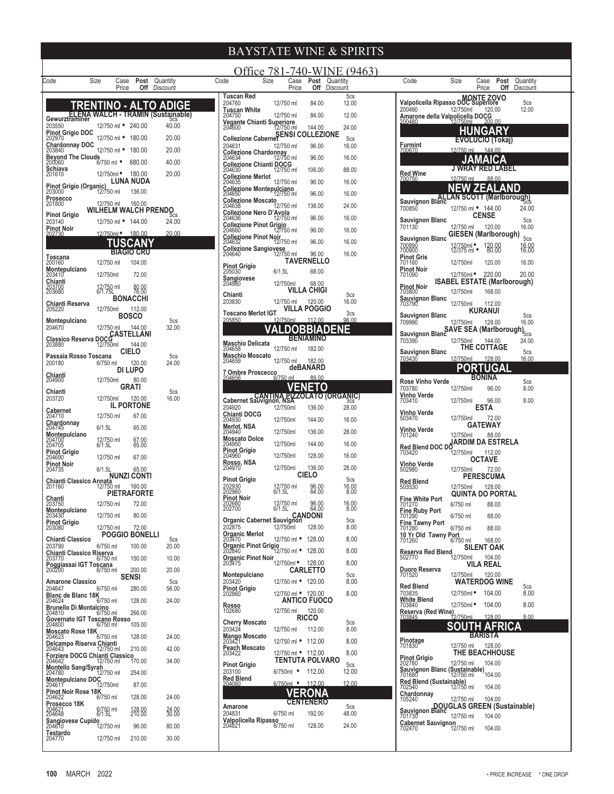|                                                                        |                                   |                                   |                          |                                                                          |                                            |                                       | Office 781-740-WINE (9463) |                                                            |                                    |                                    |                 |                                             |
|------------------------------------------------------------------------|-----------------------------------|-----------------------------------|--------------------------|--------------------------------------------------------------------------|--------------------------------------------|---------------------------------------|----------------------------|------------------------------------------------------------|------------------------------------|------------------------------------|-----------------|---------------------------------------------|
| Code                                                                   | Size<br>Case<br>Price             | <b>Post</b> Quantity<br>Off       | Discount                 | Code<br>Size                                                             | Case<br>Price                              | Post Quantity<br><b>Off</b> Discount  |                            | Code                                                       | Size                               | Case<br>Price                      |                 | <b>Post</b> Quantity<br><b>Off</b> Discount |
|                                                                        | TRENTINO - ALTO                   |                                   | <b>ADIGE</b>             | <b>Tuscan Red</b><br>204760                                              | 12/750 ml                                  | 84.00                                 | 5cs<br>12.00               | MONTE ZOVO<br>Valpolicella Ripasso DOC Superiore<br>200490 |                                    |                                    |                 | 5cs                                         |
| Gewurztraminer<br>Gewurztraminer                                       |                                   |                                   |                          | <b>Tuscan White</b><br>204750                                            | 12/750 ml                                  | 84.00                                 | 12.00                      | 200490<br>Amarone della Valpolicella DOCG                  | 12/750ml                           | 120.00                             |                 | 12.00                                       |
| 203550<br>Pinot Grigio DOC                                             | 12/750 ml • 240.00                |                                   | 40.00                    | <b>Vegante Chianti Superiore</b><br>204600                               | 12/750 ml                                  | 144.00                                | 24.00                      | 200480                                                     | 12/750ml                           | 200.00<br><b>HUNGARY</b>           |                 |                                             |
| 202970<br><b>Chardonnay DOC</b>                                        | 12/750 ml • 180.00                |                                   | 20.00                    | SENSI COLLEZIONE                                                         |                                            |                                       | 5cs                        |                                                            |                                    | EVOLUCIO (Tokaj)                   |                 |                                             |
| 203840<br><b>Beyond The Clouds</b>                                     | 12/750 ml • 180.00                |                                   | 20.00                    | 204631<br><b>Collezione Chardonnay</b><br>204634                         | 12/750 ml<br>12/750 ml                     | 96.00<br>96.00                        | 16.00<br>16.00             | <b>Furmint</b><br>700670                                   |                                    | 12/750 ml 144.00                   |                 |                                             |
| 200060<br>Schiava                                                      | 6/750 ml •                        | 680.00                            | 40.00                    | <b>Collezione Chianti DOCG</b><br>204630                                 | 12/750 ml                                  | 106.00                                | 88.00                      |                                                            |                                    | JAMAICA<br><b>J WRAY RED LABEL</b> |                 |                                             |
| 201610                                                                 | 12/750ml ·                        | 180.00<br>LUNA NUDA               | 20.00                    | <b>Collezione Merlot</b><br>204635                                       | 12/750 ml                                  | 96.00                                 | 16.00                      | <b>Red Wine</b><br>700750                                  | 12/750 ml                          |                                    | 88.00           |                                             |
| Pinot Grigio (Organic)<br>203000                                       | 12/750 ml                         | 136.00                            |                          | <b>Collezione Montepulciano</b><br>204650                                | 12/750 ml                                  | 96.00                                 | 16.00                      |                                                            | <b>NEW ZEALAND</b>                 |                                    |                 |                                             |
| Prosecco<br>201800                                                     | 12/750 ml<br>WILHELM WALCH PRENDO | 160.00                            |                          | <b>Collezione Moscato</b><br>204638                                      | 12/750 ml                                  | 136.00                                | 24.00                      | Sauvignon Blanc ALLAN SCOTT (Marlborough)<br>700850        |                                    | 12/750 ml • 144.00                 |                 | 24.00                                       |
| <b>Pinot Grigio</b><br>203140                                          | 12/750 ml • 144.00                |                                   | 5cs<br>24.00             | Collezione Nero D'Avola<br>204636                                        | 12/750 ml                                  | 96.00                                 | 16.00                      | <b>Sauvignon Blanc</b>                                     |                                    | <b>CENSE</b>                       |                 | 5cs                                         |
| Pinot Noir<br>202730                                                   | 12/750ml • 180.00                 |                                   | 20.00                    | <b>Collezione Pinot Grigio</b><br>204660<br><b>Collezione Pinot Noir</b> | 127750 ml                                  | 96.00                                 | 16.00                      | 701130                                                     | 12/750 ml                          | 120.00<br>GIESEN (Marlborough)     |                 | 16.00                                       |
|                                                                        |                                   | TUSCANY                           |                          | 204632                                                                   | 12/750 ml                                  | 96.00                                 | 16.00                      | <b>Sauvignon Blanc</b><br>700890<br>700900                 | 12/750ml •<br>12/375 ml •          |                                    | 120.00<br>80.00 | 5cs<br>16.00<br>16.00                       |
| Toscana                                                                | 12/750 ml                         | <b>BIAGIO CRU</b><br>104.00       |                          | Collezione Sangiovese<br>204640<br>12/750 ml                             |                                            | 96.00<br><b>TAVERNELLO</b>            | 16.00                      | Pinot Gris<br>701160                                       |                                    | 120.00                             |                 |                                             |
| 200160<br>Montepulciano<br>203410                                      | 12/750ml                          | 72.00                             |                          | <b>Pinot Grigio</b><br>205030                                            | 6/1.5L                                     | 68.00                                 |                            | <b>Pinot Noir</b><br>701090                                | 12/750ml<br>12/750ml ·             | 220.00                             |                 | 16.00<br>20.00                              |
| Chianti                                                                |                                   |                                   |                          | Sangiovese<br>204980                                                     | 12/750ml                                   | 68.00                                 |                            | <b>Pinot Noir</b>                                          | <b>ISABEL ESTATE (Marlborough)</b> |                                    |                 |                                             |
| 203700<br>203680                                                       | 12/750 ml<br>6/1.75L              | 80.00<br>76.00<br><b>BONACCHI</b> |                          | Chianti<br>203830                                                        | 12/750 ml                                  | <b>VILLA CHIGI</b><br>120.00          | 5 <sub>cs</sub><br>16.00   | 703800<br><b>Sauvignon Blanc</b>                           | 12/750ml                           | 168.00                             |                 |                                             |
| Chianti Reserva<br>205220                                              | 12/750ml                          | 112.00                            |                          | <b>Toscano Merlot IGT</b>                                                |                                            | VILLA POGGIO                          | 3 <sub>cs</sub>            | 703790<br><b>Sauvignon Blanc</b>                           | 12/750ml                           | 112.00<br>KURANUI                  |                 | 5cs                                         |
| <b>Montepulciano</b><br>204670                                         | 12/750 ml                         | <b>BOSCO</b><br>144.00            | 5 <sub>cs</sub><br>32.00 | 205850                                                                   | 12/750ml                                   | 112.00                                | 96.00                      | 709990                                                     | 12/750ml                           |                                    | 128.00          | 16.00                                       |
| CASTELLANI                                                             |                                   |                                   |                          |                                                                          |                                            | <b>DOBBIADENE</b><br><b>BENIAMINO</b> |                            | SAVE SEA (Marlborough) <sub>5cs</sub><br>703390            | 12/750ml                           | 144.00                             |                 | 24.00                                       |
| 203880                                                                 | 12/750ml                          | 144.00<br><b>CIELO</b>            |                          | <b>Maschio Delicata</b><br>204658                                        | 12/750 ml                                  | 182.00                                |                            | Sauvignon Blanc                                            |                                    | THE COTTAGE                        |                 | 5cs                                         |
| Passaia Rosso Toscana<br>200180                                        | 6/750 ml                          | 120.00                            | 5 <sub>cs</sub><br>24.00 | <b>Maschio Moscato</b><br>204659                                         | 12/750 ml                                  | 182.00<br>deBANARD                    |                            | 703430                                                     | 12/750ml                           | 128.00<br>PORTUGAL                 |                 | 16.00                                       |
| Chianti<br>204900                                                      | 12/750ml                          | <b>DI LUPO</b><br>80.00           |                          | 7 Ombre Proscecco<br>204656                                              | 6/750 ml                                   | 89.00                                 |                            |                                                            |                                    | <b>BONINA</b>                      |                 |                                             |
| Chianti                                                                |                                   | <b>GRATI</b>                      | 5cs                      |                                                                          |                                            | <b>VENETO</b>                         |                            | <b>Rose Vinho Verde</b><br>703780                          | 12/750ml                           |                                    | 96.00           | 5cs<br>8.00                                 |
| 203720                                                                 | 12/750ml                          | 120.00<br><b>IL PORTONE</b>       | 16.00                    | Cabernet Sauvignon, NSA (ORGANIC)                                        |                                            |                                       |                            | Vinho Verde<br>703410                                      | 12/750ml                           |                                    | 96.00           | 8.00                                        |
| <b>Cabernet</b><br>204710                                              | 12/750 ml                         | 67.00                             |                          | 204920<br>Chianti DOCG<br>204930                                         | 12/750ml<br>12/750ml                       | 136.00<br>144.00                      | 28.00<br>16.00             | <b>Vinho Verde</b><br>503470                               | 12/750ml                           | <b>ESTA</b>                        | 72.00           |                                             |
| Chardonnay<br>204745                                                   | 6/1.5L                            | 65.00                             |                          | Merlot, NSA<br>204940                                                    | 12/750ml                                   | 136.00                                | 28.00                      | Vinho Verde                                                |                                    | GATEWAY                            |                 |                                             |
| Montepulciano<br>204700<br>204705                                      | 12/750 ml<br>6/1.5L               | 67.00<br>65.00                    |                          | <b>Moscato Dolce</b><br>204950                                           | 12/750ml                                   | 144.00                                | 16.00                      | 701240<br>Red Blend DOC DO <b>ARDIM DA ESTRELA</b>         | 12/750ml                           |                                    | 88.00           |                                             |
| Pinot Grigio<br>204690                                                 | 12/750 ml                         | 67.00                             |                          | <b>Pinot Grigio</b><br>204960                                            | 12/750ml                                   | 128.00                                | 16.00                      | 703420                                                     | 12/750ml                           | 112.00<br>OCTAVE                   |                 |                                             |
| <b>Pinot Noir</b><br>204735                                            | 6/1.5L                            | 65.00                             |                          | <b>Rosso, NSA</b><br>204970                                              | 12/750ml                                   | 136.00                                | 28.00                      | Vinho Verde<br>502980                                      | 12/750ml                           |                                    | 72.00           |                                             |
| Chianti Classico Annata<br>201160                                      | 12/750 ml                         | <b>NUNZI CONTI</b><br>160.00      |                          | <b>Pinot Grigio</b><br>202930                                            |                                            | <b>CIELO</b>                          | 5 <sub>cs</sub><br>16.00   | <b>Red Blend</b>                                           | 12/750ml                           | <b>PERESCUMA</b><br>128.00         |                 |                                             |
| Chanti                                                                 |                                   | <b>PIETRAFORTE</b>                |                          | 202960<br><b>Pinot Noir</b>                                              | 12/750 ml<br>6/1.5L                        | 96.00<br>64.00                        | 8.00                       | 503530<br><b>Fine White Port</b>                           |                                    | <b>QUINTA DO PORTAL</b>            |                 |                                             |
| 203750<br>Montepulciano                                                | 12/750 ml                         | 72.00                             |                          | 202680<br>202700                                                         | 12/750 ml<br>6/1.5L                        | 96.00<br>64.00                        | 16.00<br>8.00              | 701270                                                     | 6/750 ml                           |                                    | 88.00           |                                             |
| 203430<br><b>Pinot Grigio</b>                                          | 12/750 ml                         | 80.00                             |                          | <b>CANDONI</b><br>202875<br>202875<br>202875                             |                                            |                                       | 5 <sub>cs</sub>            | Fine Ruby Port<br>701290<br><b>Fine Tawny Port</b>         | 6/750 ml                           |                                    | 88.00           |                                             |
| 203080<br><b>Chianti Classico</b>                                      | 12/750 ml                         | 72.00<br><b>POGGIO BONELLI</b>    | 5cs                      | <b>Organic Merlot</b><br>203470                                          | 12/750ml<br>12/750 ml • 128.00             | 128.00                                | 8.00<br>8.00               | 701280<br>10 Yr Old Tawny Port                             | 6/750 ml                           |                                    | 88.00           |                                             |
| 203790<br>Chianti Classico Riserva                                     | 6/750 ml                          | 100.00                            | 20.00                    | 203470<br><b>Organic Pinot Grigio</b><br>202840<br>202840                |                                            |                                       | 8.00                       | 701260<br><b>Reserva Red Blend</b>                         | 6/750 ml                           | <b>SILENT OAK</b>                  | 168.00          |                                             |
| 203770                                                                 | 6/750 ml                          | 150.00                            | 10.00                    | <b>Organic Pinot Noir</b><br>203475                                      | 12/750ml • 128.00                          |                                       | 8.00                       | 502770                                                     | 12/750ml                           | <b>VILA REAL</b>                   | 104.00          |                                             |
| Poggiassai IGT Toscana<br>200200 6/750 ml                              |                                   | 200.00<br><b>SENSI</b>            | 20.00                    | Montepulciano                                                            |                                            | <b>CARLETTO</b>                       | 5cs                        | Duoro Reserva<br>701520                                    | 12/750ml                           | 120.00                             |                 |                                             |
| <b>Amarone Classico</b><br>204647                                      | 6/750 ml                          | 280.00                            | 5cs<br>56.00             | 203420<br><b>Pinot Grigio</b>                                            | 12/750 ml • 120.00                         |                                       | 8.00                       | <b>Red Blend</b><br>703835                                 | 12/750ml ·                         | <b>WATERDOG WINE</b><br>104.00     |                 | 5cs<br>8.00                                 |
| Blanc de Blanc 18K<br>204624                                           | $6/750$ ml                        | 128.00                            | 24.00                    | 202860<br>Rosso                                                          | 12/750 ml • 120.00                         | <b>ANTICO FUOCO</b>                   | 8.00                       | <b>White Blend</b><br>703840                               | 12/750ml •                         |                                    | 104.00          | 8.00                                        |
| <b>Brunello Di Montalcino</b><br>204810<br>Governato IGT Toscano Rosso | 6/750 ml                          | 266.00                            |                          | 102680                                                                   | 12/750 ml                                  | 120.00<br><b>RICCO</b>                |                            | Reserva (Red Wine)<br>703845                               | 12/750ml                           |                                    | 128.00          | 8.00                                        |
| 204800<br>Moscato Rose 18K                                             | 6/750 ml                          | 105.00                            |                          | <b>Cherry Moscato</b><br>203424                                          | 12/750 ml                                  | 112.00                                | 5cs<br>8.00                |                                                            | <b>SOUTH</b>                       |                                    | <b>AFRICA</b>   |                                             |
| 204623<br>Delcampo Riserva Chianti                                     | 6/750 ml                          | 128.00                            | 24.00                    | Mango Moscato<br>203421                                                  | 12/750 ml • 112.00                         |                                       | 8.00                       | Pinotage<br>701830                                         | 12/750 ml                          | <b>BARISTA</b><br>128.00           |                 |                                             |
| 204643<br>Forziere DOCG Chianti Classico                               | 12/750 ml                         | 210.00                            | 42.00                    | Peach Moscato<br>203422                                                  | 12/750 ml • 112.00                         |                                       | 8.00                       | <b>Pinot Grigio</b>                                        |                                    | THE BEACHHOUSE                     |                 |                                             |
| 204642<br><b>Montello Sang/Syrah</b>                                   | 12/750 ml                         | 170.00                            | 34.00                    | <b>Pinot Grigio</b><br>203100                                            | <b>TENTUTA POLVARO</b><br>6/750ml • 112.00 |                                       | 5 <sub>cs</sub><br>12.00   | 202780<br>Sauvignon Blanc (Sustainable)                    | 12/750 ml                          | 104.00                             |                 |                                             |
| 204780<br>Montepulciano DOC<br>204611 12/750ml                         | 12/750 ml                         | 254.00<br>87.00                   |                          | <b>Red Blend</b><br>204060                                               | 6/750ml • 112.00                           |                                       | 12.00                      | 701680<br><b>Red Blend (Sustainable)</b>                   | 12/750 ml                          |                                    | 104.00          |                                             |
| Pinot Noir Rose 18K<br>204622                                          | 6/750 ml                          | 128.00                            | 24.00                    |                                                                          |                                            | <b>VERONA</b>                         |                            | 702540<br>Chardonnay                                       | 12/750 ml                          |                                    | 104.00          |                                             |
| Prosecco 18K                                                           |                                   |                                   |                          | Amarone                                                                  |                                            | <b>CENTENERO</b>                      | 5cs                        | 105240                                                     | 12/750 ml                          |                                    | 104.00          | <b>DOUGLAS GREEN (Sustainable)</b>          |
| 204621<br>204648<br>Sangiovese Cupido                                  | 6/750 ml<br>6/1.5L                | 128.00<br>210.00                  | 24.00<br>30.00           | 204831<br>Valpolicella Ripasso                                           | 6/750 ml                                   | 192.00                                | 48.00                      | Sauvignon Blanc<br>701730<br><b>Cabernet Sauvignon</b>     | 12/750 ml                          |                                    | 104.00          |                                             |
| 204610<br>Testardo                                                     | 12/750 ml                         | 96.00                             | 80.00                    | 204821                                                                   | 6/750 ml                                   | 128.00                                | 24.00                      | 702470                                                     | 12/750 ml                          |                                    | 104.00          |                                             |
| 204770                                                                 | 12/750 ml                         | 210.00                            | 30.00                    |                                                                          |                                            |                                       |                            |                                                            |                                    |                                    |                 |                                             |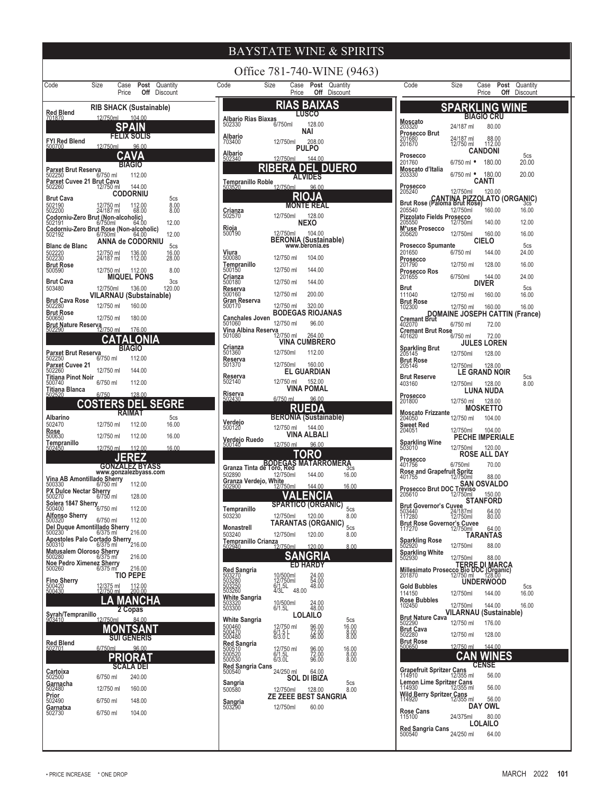| Office 781-740-WINE (9463)<br>Code                                                                                     |                                                                                                                            |                                                                                                  |  |
|------------------------------------------------------------------------------------------------------------------------|----------------------------------------------------------------------------------------------------------------------------|--------------------------------------------------------------------------------------------------|--|
| Size<br>Post<br>Quantity<br>Case<br>Price<br>Off<br>Discount                                                           | Size<br>Case <b>Post</b> Quantity<br>Code<br>Price<br><b>Off</b> Discount                                                  | Code<br>Size<br><b>Post</b> Quantity<br>Case<br>Price<br>Off<br>Discount                         |  |
| <b>RIB SHACK (Sustainable)</b><br><b>Red Blend</b>                                                                     | <b>RIAS BAIXAS</b>                                                                                                         | <b>SPARKLING WINE</b>                                                                            |  |
| 12/750ml<br>104.00<br>701870                                                                                           | <b>LUSCO</b><br>Albario Rias Biaxas<br>6/750ml<br>128.00                                                                   | <b>BIAGIO CRU</b><br>Moscato<br>203320                                                           |  |
| SPAIN<br><b>FELIX SOLIS</b>                                                                                            | <b>NAI</b><br>Albario                                                                                                      | 24/187 ml<br>80.00<br>Prosecco Brut                                                              |  |
| FYI Red Blend<br>500700<br>12/750ml<br>96.00                                                                           | 12/750ml<br>208.00<br>703400<br><b>PULPO</b>                                                                               | 24/187 ml<br>12/750 ml<br>201680<br>201670<br>88.00<br>112.00<br><b>CANDONI</b>                  |  |
| CAVA<br><b>BIAGIO</b>                                                                                                  | Albario<br>502340<br>144.00<br>12/750ml                                                                                    | Prosecco<br>5cs<br>20.00<br>201760<br>6/750 ml •<br>180.00                                       |  |
| Parxet Brut Reserva<br>502250<br>6/750 ml<br>112.00                                                                    | RIBERA DEL DUERO<br><b>ALVIDES</b>                                                                                         | Moscato d'Italia<br>180.00<br>20.00<br>6/750 ml •<br>203330                                      |  |
| Parxet Cuvee 21 Brut Cava<br>502260<br>12/750 ml<br>144.00                                                             | Tempranillo Roble<br>12/750ml<br>96.00                                                                                     | CANTI<br>Prosecco<br>205240                                                                      |  |
| <b>CODORNIU</b><br><b>Brut Cava</b><br>5cs                                                                             | RIOJA                                                                                                                      | 12/750ml<br>120.00<br>Brut Rose (Paloma Brut Rose)LATO (ORGANIC)                                 |  |
| 502190<br>502200<br>8.00<br>12/750 ml<br>24/187 ml<br>112.00<br>68.00                                                  | <b>MONTE REAL</b><br>Crianza<br>502570<br>12/750ml<br>128.00                                                               | 205540<br>12/750ml<br>160.00<br>16.00<br><b>Pizzolato Fields Prosecco</b>                        |  |
| Codorniu-Zero Brut (Non-alcoholic)<br>502191 6/750ml 64.0<br>12.00<br>64.00<br>Codorniu-Zero Brut Rose (Non-alcoholic) | <b>NEXO</b>                                                                                                                | 12/750ml<br>140.00<br>12.00<br>205550<br>M*use Prosecco                                          |  |
| 12.00<br>502192<br>6/750ml<br>64.00<br><b>ANNA de CODORNIU</b>                                                         | <b>Rioja</b><br>500190<br>12/750ml<br>104.00<br>BERONIA (Sustainable)<br>www.beronia.es                                    | 12/750ml<br>160.00<br>16.00<br>205620<br><b>CIELO</b>                                            |  |
| <b>Blanc de Blanc</b><br>5cs<br>502220<br>502230<br>12/750 ml<br>24/187 ml<br>136.00<br>112.00<br>16.00<br>28.00       | $\frac{\text{Viura}}{500080}$                                                                                              | <b>Prosecco Spumante</b><br>5cs<br>201650<br>6/750 ml<br>24.00<br>144.00                         |  |
| <b>Brut Rose</b>                                                                                                       | 12/750 ml<br>104.00<br>Tempranillo<br>500150                                                                               | Prosecco<br>201790<br>12/750 ml<br>128.00<br>16.00                                               |  |
| 500590<br>12/750 ml<br>112.00<br>8.00<br><b>MIQUEL PONS</b><br><b>Brut Cava</b><br>3 <sub>cs</sub>                     | 144.00<br>12/750 ml<br>Crianza<br>500180<br>12/750 ml<br>144.00                                                            | Prosecco Ros<br>201655<br>6/750ml<br>144.00<br>24.00                                             |  |
| 503480<br>12/750ml<br>136.00<br>120.00                                                                                 | Reserva<br>12/750 ml<br>200.00<br>500160                                                                                   | <b>DIVER</b><br>Brut<br>5 <sub>cs</sub><br>111040<br>12/750 ml<br>160.00<br>16.00                |  |
| VILARNAU (Substainable)<br><b>Brut Cava Rose</b><br>502280<br>12/750 ml<br>160.00                                      | Gran Reserva<br>12/750 ml<br>320.00<br>500170                                                                              | <b>Brut Rose</b><br>12/750 ml<br>160.00<br>102300<br>16.00                                       |  |
| <b>Brut Rose</b><br>500650<br>12/750 ml<br>180.00                                                                      | <b>BODEGAS RIOJANAS</b><br><b>Canchales Joven</b>                                                                          | DOMAINE JOSEPH CATTIN (France)                                                                   |  |
| <b>Brut Nature Reserva</b><br>502290<br>12/750 ml<br>176.00                                                            | 12/750 ml<br>96.00<br>501060<br>Vina Albina Reserva                                                                        | 402070<br>6/750 ml<br>72.00<br><b>Cremant Brut Rose</b>                                          |  |
| CATALONIA                                                                                                              | 12/750 ml<br>264.00<br>501080<br><b>VINA CUMBRERO</b>                                                                      | 401620<br>6/750 ml<br>72.00<br><b>JULES LOREN</b>                                                |  |
| <b>BIAGIO</b><br>Parxet Brut Reserva<br>6/750 ml<br>112.00<br>502250                                                   | Crianza<br>501360<br>12/750ml<br>112.00<br>Reserva                                                                         | Sparkling Brut<br>205145<br>12/750ml<br>128.00<br><b>Brut Rose</b>                               |  |
| <b>Parxet Cuvee 21</b><br>502260<br>12/750 ml<br>144.00                                                                | 12/750ml<br>160.00<br>501370<br><b>EL GUARDIAN</b>                                                                         | 12/750ml<br>205146<br>128.00<br>LE GRAND NOIR                                                    |  |
| <b>Titiana Pinot Noir</b><br>500740<br>6/750 ml<br>112.00                                                              | Reserva<br>152.00<br>12/750 ml<br>502140                                                                                   | <b>Brut Reserve</b><br>5cs<br>403160<br>12/750ml<br>128.00<br>8.00                               |  |
| <b>Titiana Blanca</b><br>6/750<br>128.00                                                                               | VINA POMAL<br>Riserva<br>502430<br>6/750 ml<br>96.00                                                                       | <b>LUNA NUDA</b><br>Prosecco                                                                     |  |
| <b>ERS</b><br><b>DEL</b><br><b>SEGRE</b><br>CO                                                                         | RUEDA                                                                                                                      | 12/750 ml<br>128.00<br>201800<br><b>MOSKETTO</b>                                                 |  |
| RAIMAT<br>Albarino<br>5cs<br>502470<br>12/750 ml<br>16.00<br>112.00                                                    | <b>BERONIA (Sustainable)</b><br>Verdejo<br>500120                                                                          | <b>Moscato Frizzante</b><br>12/750 ml<br>204050<br>104.00<br><b>Sweet Red</b>                    |  |
| Rose<br>500630<br>12/750 ml<br>112.00<br>16.00                                                                         | 12/750 ml  144.00<br>VINA ALBALI                                                                                           | 204051<br>12/750ml<br>104.00<br><b>PECHE IMPERIALE</b>                                           |  |
| Tempranillo<br>12/750 ml<br>112.00<br>16.00<br>502450                                                                  | Verdejo Ruedo<br>500140<br>12/750 ml<br>96.00                                                                              | <b>Sparkling Wine</b><br>503010<br>12/750ml<br>120.00                                            |  |
| <b>JEREZ</b>                                                                                                           | TORO                                                                                                                       | <b>ROSE ALL DAY</b><br>Prosecco<br>6/750ml<br>70.00                                              |  |
| <b>GONZALEZ BYASS</b><br>www.gonzalezbyass.com                                                                         | <b>BODEGAS MATARROMERA</b><br>Granza Tinta de Toro, Red<br>502890<br>12/750ml<br>16.00<br>144.00                           | 401756<br><b>Rose and Grapefruit Spritz</b><br>12/750ml<br>88.00<br>401755                       |  |
| Vina AB Amontillado Sherry<br>500330<br>112.00<br>6/750 ml                                                             | Granza Verdejo, White<br>502900<br>16.00<br>12/750ml<br>144.00                                                             | SAN OSVALDO<br>Prosecco Brut DOC Treviso                                                         |  |
| PX Dulce Nectar Sherry<br>500270<br>128.00<br>6/750 ml                                                                 | .ENCIA                                                                                                                     | 12/750ml<br>150.00<br>205610<br><b>STANFORD</b>                                                  |  |
| $Solera$ 1847 Sherry<br>Solera 1847 Sherry<br>112.00<br><b>Alfonso Sherry</b>                                          | <b>SPARTICO (ORGANIC)</b><br>5cs<br>Tempranillo<br>503230<br>12/750ml<br>120.00<br>8.00                                    | <b>Brut Governor's Cuvee</b><br>503440<br>117280<br>64.00<br>24/187ml<br>12/750ml<br>80.00       |  |
| 500320<br>6/750 ml<br>112.00<br>Del Duque Amontillado Sherry                                                           | <b>TARANTAS (ORGANIC)</b><br>5cs<br>Monastrell                                                                             | Brut Rose Governor's Cuvee<br>117270 12/750ml<br>64.00                                           |  |
| 216.00<br>500230<br>6/375 ml<br>BUUZ30<br><b>Apostoles Palo Cortado Sherry</b><br>6/375 ml                             | 503240<br>12/750ml<br>120.00<br>8.00<br><b>Tempranillo Crianza</b>                                                         | <b>TARANTAS</b>                                                                                  |  |
| <b>Matusalem Oloroso Sherry</b>                                                                                        | 502940<br>120.00<br>8.00<br>12/750ml<br><b>SANGRIA</b>                                                                     | Sparkling Rose<br>502920<br>88.00<br>12/750ml<br>Sparkling White<br>502930                       |  |
| 216.00<br>500280<br>$6/375$ m<br>Noe Pedro Ximenez Sherry<br>$6/375$ ml<br>216.00<br>500260                            | <b>ED HARDY</b>                                                                                                            | 12/750ml<br>88.00<br>TERRE DI MARCA<br>Millesimato Prosecco Bio DOC (Organic)<br>201870 12750 ml |  |
| <b>TIO PEPE</b>                                                                                                        | <b>Red Sangria</b><br>10/500ml<br>12/750ml<br>6/1.5L<br>24.00<br>50<br>50                                                  | <b>UNDERWOOD</b>                                                                                 |  |
| Fino Sherry<br>500420<br>500430<br>112.00<br>200.00<br>12/375 ml<br>12/750 ml                                          | 503250<br>503260<br>48.00<br>48.00<br>4/3L                                                                                 | <b>Gold Bubbles</b><br>5cs<br>114150<br>12/750ml<br>144.00<br>16.00                              |  |
| .A MANCHA                                                                                                              | <b>White Sangria</b><br>10/500ml<br>6/1.5L<br>503320<br>503300<br>24.00<br>48.00                                           | <b>Rose Bubbles</b><br>16.00<br>12/750ml<br>144.00<br>102450                                     |  |
| 2 Copas<br>Syrah/Tempranillo<br>12/750ml<br>84.00                                                                      | <b>LOLAILO</b><br>White Sangria<br>5cs                                                                                     | <b>VILARNAU (Sustainable)</b><br><b>Brut Nature Cava</b>                                         |  |
| MONTSANT                                                                                                               | 500460<br>500470<br>500480<br>12/750 ml<br>6/1.5 L<br>6/3.0 L<br>16.00<br>96.00<br>72.00<br>96.00                          | 12/750 ml<br>176.00<br>502290<br><b>Brut Cava</b><br>12/750 ml<br>128.00<br>502280               |  |
| SUI GENERIS<br><b>Red Blend</b><br>6/750ml<br>96.00<br>502701                                                          | 8.00                                                                                                                       | <b>Brut Rose</b><br>12/750 ml<br>144.00<br>500650                                                |  |
| PRIORAT                                                                                                                | <b>Red Sangria</b><br>500510<br>500520<br>500530<br>12/750 ml<br>16.00<br>8.00<br>8.00<br>96.00<br>72.00<br>96.00<br>6/1.5 | <b>WINES</b><br>CAN                                                                              |  |
| <b>SCALA DEI</b><br>Cartoixa                                                                                           | Red Sangria Cans<br>500540<br>24/250 ml<br>64.00                                                                           | <b>CENSE</b><br><b>Grapefruit Spritzer Cans</b>                                                  |  |
| 6/750 ml<br>240.00<br>502500<br>Garnacha                                                                               | <b>SOL DI IBIZA</b><br>Sangria<br>5cs                                                                                      | 56.00<br>114910<br>12/355 ml<br>Lemon Lime Spritzer Cans<br>114930 12/355 ml                     |  |
| 12/750 ml<br>160.00<br>502480<br><b>Prior</b>                                                                          | 500580<br>128.00<br>8.00<br>12/750ml<br><b>ZE ZEEE BEST SANGRIA</b>                                                        | 56.00<br><b>Wild Berry Spritzer Cans</b><br>114920<br>56.00<br>12/355 ml                         |  |
| 502490<br>6/750 ml<br>148.00<br>Garnatxa<br>6/750 ml<br>104.00                                                         | Sangria<br>503290<br>12/750ml<br>60.00                                                                                     | DAY OWL                                                                                          |  |
| 502730                                                                                                                 |                                                                                                                            | Rose Cans<br>115100<br>80.00<br>24/375ml<br><b>LOLAILO</b>                                       |  |
|                                                                                                                        |                                                                                                                            | Red Sangria Cans<br>500540                                                                       |  |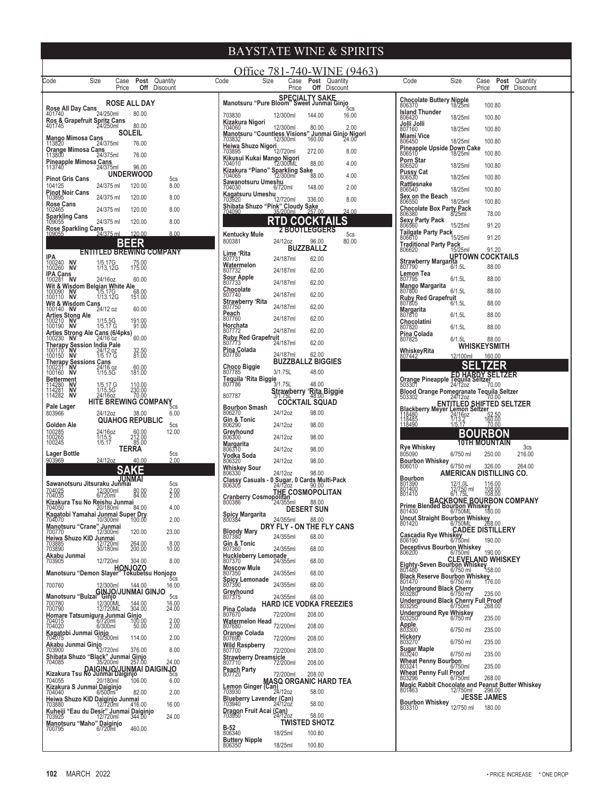| Size<br>Post Quantity<br>Code<br>Case                                                                                   | Office 781-740-WINE (9463)<br>Code<br>Size<br>Case<br><b>Post</b> Quantity                                                                                                                                                      | Code<br>Size<br><b>Post</b> Quantity<br>Case                                                                                                |
|-------------------------------------------------------------------------------------------------------------------------|---------------------------------------------------------------------------------------------------------------------------------------------------------------------------------------------------------------------------------|---------------------------------------------------------------------------------------------------------------------------------------------|
| <b>Off</b> Discount<br>Price                                                                                            | <b>Off</b> Discount<br>Price<br>SPECIALTY SAKE Manotsuru "Pure Bloom" Sweet Junmal Ginjo                                                                                                                                        | Price<br><b>Off</b> Discount<br>Chocolate Buttery Nipple<br>806370 18/25ml                                                                  |
| <b>ROSE ALL DAY</b><br>Rose All Day Cans<br>401740<br>24/250ml<br>80.00                                                 |                                                                                                                                                                                                                                 | 100.80<br>Island Thunder                                                                                                                    |
| Ros & Grapefruit Spritz Cans<br>401745 24/250ml                                                                         | 703830<br>12/300ml<br>16.00<br>144.00<br>Kizakura Nigori                                                                                                                                                                        | 18/25ml<br>100.80<br>806420                                                                                                                 |
| 80.00<br><b>SOLEIL</b>                                                                                                  | 12/300ml<br>80.00<br>2.00<br>704060                                                                                                                                                                                             | Jolli Jolli<br>807160<br>18/25ml<br>100.80                                                                                                  |
| Mango Mimosa Cans<br>24/375ml<br>76.00<br>113820                                                                        | Manotsuru "Countless Visions" Junmai Ginjo Nigori<br>703832 12/300ml 160.00 24.00<br>Heiwa Shuzo Nigori                                                                                                                         | Miami Vice<br>18/25ml<br>100.80<br>806450                                                                                                   |
| Orange Mimosa Cans<br>113800<br>24/375ml<br>76.00                                                                       | 272.00<br>8.00<br>12/720ml<br>703895                                                                                                                                                                                            | Pineapple Upside Down Cake<br>806510<br>18/25ml<br>100.80                                                                                   |
| Pineapple Mimosa Cans<br>96.00<br>113740<br>24/375ml                                                                    | Kikusui Kukai Mango Nigori<br>704010 12/300ML<br>88.00<br>4.00                                                                                                                                                                  | Porn Star<br>18/25ml<br>100.80<br>806520                                                                                                    |
| <b>UNDERWOOD</b><br><b>Pinot Gris Cans</b><br>5 <sub>cs</sub>                                                           | Kizakura "Piano" Sparkling Sake<br>88.00<br>4.00<br>704065<br>12/300ml                                                                                                                                                          | <b>Pussy Cat</b><br>806530<br>18/25ml<br>100.80                                                                                             |
| 104125<br>24/375 ml<br>120.00<br>8.00                                                                                   | Sawanotsuru Umeshu<br>704030 6/72<br>2.00<br>148.00<br>6/720ml                                                                                                                                                                  | Rattlesnake<br>18/25ml<br>100.80<br>806540                                                                                                  |
| <b>Pinot Noir Cans</b><br>24/375 ml<br>120.00<br>8.00<br>103895                                                         | Kagatsuru Umeshu<br>12/720ml<br>8.00<br>336.00<br>703920                                                                                                                                                                        | Sex on the Beach<br>806550<br>18/25ml<br>100.80                                                                                             |
| <b>Rose Cans</b><br>24/375 ml<br>120.00<br>8.00<br>102465                                                               | Shibata Shuzo "Pink" Cloudy Sake<br>35/200ml<br>704090<br>24.00<br>257.00                                                                                                                                                       | Chocolate Box Party Pack<br>806380 8/25ml                                                                                                   |
| <b>Sparkling Cans</b><br>24/375 ml<br>8.00<br>120.00<br>109055                                                          | $\mathbf{s}$<br>RTD COCKTAIL                                                                                                                                                                                                    | 78.00<br>Sexy Party Pack<br>806560                                                                                                          |
| Rose Sparkling Cans<br>109055<br>24/375 ml<br>120.00<br>8.00                                                            | <b>2 BOOTLEGGERS</b><br><b>Kentucky Mule</b><br>5 <sub>cs</sub>                                                                                                                                                                 | 15/25ml<br>91.20                                                                                                                            |
| <b>BEER</b>                                                                                                             | 800381<br>96.00<br>80.00<br>24/12oz                                                                                                                                                                                             | Tailgate Party Pack<br>806610<br>15/25ml<br>91.20<br><b>Traditional Party Pack</b>                                                          |
| <b>ENTITLED BREWING COMPANY</b>                                                                                         | <b>BUZZBALLZ</b><br>Lime 'Rita                                                                                                                                                                                                  | 91.20<br>806620<br>15/25ml<br><b>UPTOWN COCKTAILS</b>                                                                                       |
| IPA<br>100240 NV<br>100260 NV<br>1/5.17G<br>1/13.12G<br>75.00<br>175.00                                                 | 62.00<br>24/187ml<br>807731<br>Watermelon                                                                                                                                                                                       | Strawberry Margarita<br>807790<br>6/1.5L<br>88.00                                                                                           |
| IPA Cans<br>100281 NV                                                                                                   | 62.00<br>24/187ml<br>807732                                                                                                                                                                                                     | Lemon Tea                                                                                                                                   |
| 24/16oz<br>60.00<br>Wit & Wisdom Belgian White Ale                                                                      | Sour Apple<br>807733<br>62.00<br>24/187ml                                                                                                                                                                                       | 807795<br>6/1.5L<br>88.00<br>Mango Margarita<br>807800                                                                                      |
| 68.00<br>100090 NV<br>100110 NV<br>1/5.17G<br>1/13.12G<br>151.00                                                        | Chocolate<br>62.00<br>24/187ml<br>807740                                                                                                                                                                                        | 6/1.5L<br>88.00                                                                                                                             |
| $\frac{100110}{100}$ iversely Cans<br>Wit & Wisdom Cans<br>24/12 oz<br>60.00                                            | Strawberry 'Rita<br>62.00<br>24/187ml<br>807750                                                                                                                                                                                 | Ruby Red Grapefruit<br>807805 6/1.5L<br>88.00                                                                                               |
| Arties Stong Ale<br>100210 NV<br>100190 NV                                                                              | Peach<br>807760<br>24/187ml<br>62.00                                                                                                                                                                                            | Margarita<br>807810<br>6/1.5L<br>88.00                                                                                                      |
| 1/15.5G<br>1/5.17 G<br>191.00<br>91.00                                                                                  | Horchata<br>24/187ml<br>62.00<br>807772                                                                                                                                                                                         | Chocolatini<br>807820<br>6/1.5L<br>88.00                                                                                                    |
| Arties Strong Ale Cans (6/4pks)<br>100230 NV 24/16 oz<br>60.00                                                          | <b>Ruby Red Grapefruit</b>                                                                                                                                                                                                      | Pina Colada<br>807825<br>6/1.5L<br>88.00                                                                                                    |
| Therapy Session India Pale<br>100170 NV 24/12 oz<br>100150 NV 1/5.17 G                                                  | 62.00<br>24/187ml<br>807773<br>Pina Colada                                                                                                                                                                                      | <b>WHISKEYSMITH</b><br>WhiskeyRita                                                                                                          |
| 32.50<br>81.00                                                                                                          | 24/187ml<br>62.00<br>807780<br><b>BUZZBALLZ BIGGIES</b>                                                                                                                                                                         | 160.00<br>12/100ml<br>807442                                                                                                                |
| <b>Therapy Sessions Cans</b><br>100231 NV 24/16 oz<br>100160 NV 1/15.5G<br>60.00<br>181.00                              | Choco Biggie<br>3/1.75L<br>48.00<br>807785                                                                                                                                                                                      | <b>SELTZER</b>                                                                                                                              |
|                                                                                                                         | Tequila 'Rita Biggie<br>807786<br>3/1.75L<br>48.00                                                                                                                                                                              | <b>Prange Pineapple Teguila Seltzer</b><br>503301<br>24/12oz<br>70.00                                                                       |
| <b>Betterment</b><br>114280 NV<br>114281 NV<br>114282 NV<br>1/5.17 G<br>1/15.5G<br>24/16oz<br>110.00<br>230.00<br>70.00 | Strawberry 'Rita Biggie<br>807787                                                                                                                                                                                               | Blood Orange Pomegranate Tequila Seltzer<br>503302 70.00                                                                                    |
| HITE BREWING COMPANY <sub>5cs</sub><br>Pale Lager                                                                       | <b>COCKTAIL SQUAD</b>                                                                                                                                                                                                           |                                                                                                                                             |
| 803966<br>24/12oz<br>6.00<br>38.00                                                                                      | <b>Bourbon Smash</b><br>24/12oz<br>806270<br>98.00                                                                                                                                                                              | <b>ENTITLED SHIFTED SELTZER</b><br>Blackberry Meyer Lemon Seltzer<br>118480 1/13.2 1602<br>118485 118.3 17.37 18.00<br>118490 1/5.17 17.000 |
| <b>QUAHOG REPUBLIC</b><br>Golden Ale<br>5cs                                                                             | Gin & Tonic<br>24/12oz<br>806290<br>98.00                                                                                                                                                                                       | $\begin{array}{r} 52.50 \\ 52.50 \\ 160.00 \\ 70.00 \end{array}$<br>118480<br>118485<br>118490                                              |
| 100285<br>100265<br>100245<br>24/16oz<br>1/15.5<br>1/5.17<br>12.00<br>60.00<br>212.00<br>85.00                          | Greyhound<br>24/12oz<br>98.00<br>806300                                                                                                                                                                                         | <b>BOURBON</b>                                                                                                                              |
| TERRA                                                                                                                   | Margarita<br>806310<br>24/12oz<br>98.00                                                                                                                                                                                         | 10TH MOUNTAIN<br><b>Rye Whiskey</b><br>3cs                                                                                                  |
| Lager Bottle<br>5cs<br>2.00<br>903969<br>24/12oz<br>40.00                                                               | Vodka Soda<br>98.00<br>24/12oz<br>806320                                                                                                                                                                                        | 216.00<br>805090<br>6/750 ml<br>250.00<br><b>Bourbon Whiskey</b>                                                                            |
| <b>SAKE</b>                                                                                                             | <b>Whiskey Sour</b>                                                                                                                                                                                                             | 6/750 ml<br>326.00<br>264.00<br>806010                                                                                                      |
| Sawanotsuru Jitsuraku Junmai                                                                                            | 24/12oz<br>98.00<br>806330<br>Classy Casuals - 0 Sugar, 0 Cards Multi-Pack<br>806305 24/12oz 90.00                                                                                                                              | AMERICAN DISTILLING CO.<br>Bourbon                                                                                                          |
| 5cs<br>$2.00$<br>$2.00$<br>704025<br>704035<br>12/300ml<br>6/720ml<br>80.00<br>84.00                                    |                                                                                                                                                                                                                                 | 801390<br>12/1.0L<br>12/750 ml<br>6/1.75L<br>116.00<br>108.00                                                                               |
| Kizakura Tsu No Reishu Junmai                                                                                           | THE COSMOPOLITAN<br>88.00<br>800386<br>24/355ml                                                                                                                                                                                 | 801410<br>108.00                                                                                                                            |
| 704050<br>84.00<br>4.00<br>20/180ml<br>84.00 Kagatobi Yamahai Junmai Super Dry<br>704070 10/300ml                       | <b>DESERT SUN</b>                                                                                                                                                                                                               | BACKBONE BOURBON COMPANY<br>Prime Blended Bourbon Whiskey<br>801430 6/750ML 180.00                                                          |
| 2.00                                                                                                                    | Spicy Margarita<br>800384<br>24/355ml<br>88.00<br>DRY FLY - ON THE FLY CANS                                                                                                                                                     | 801430<br>Uncut Straight Bourbon Whiskey<br>6/750ML 268.00                                                                                  |
| Manotsuru "Crane" Junmai<br>700770 12/300ml<br>120.00<br>23.00                                                          | Bloody Mary<br>807380<br>24/355ml<br>68.00                                                                                                                                                                                      | CADEE DISTILLERY                                                                                                                            |
| 264.00<br>200.00<br>8.00<br>10.00                                                                                       | Gin & Tonic                                                                                                                                                                                                                     | 6/750ml<br>190.00<br>806190<br>Deceptivus Bourbon Whiskey                                                                                   |
| Akabu Junmai                                                                                                            | 24/355ml<br>807360<br>68.00<br><b>Huckleberry Lemonade</b>                                                                                                                                                                      | 190.00<br>6/750ml<br>806200                                                                                                                 |
| 12/720ml<br>8.00<br>703905<br>304.00                                                                                    | 24/355ml<br>807370<br>68.00<br><b>Moscow Mule</b>                                                                                                                                                                               | CLEVELAND WHISKEY<br>Eighty-Seven Bourbon Whiskey<br>801480 6/750 ml                                                                        |
| HONJOZO<br>Manotsuru "Demon Slayer" Tokubetsu Honjozo<br>5 <sub>cs</sub>                                                | 24/355ml<br>807350<br>68.00                                                                                                                                                                                                     | Black Reserve Bourbon Whiskey<br>R01470 6/750 ml                                                                                            |
| 700760<br>16.00<br>12/300ml<br>144.00                                                                                   | Spicy Lemonade<br>807390<br>24/355ml<br>68.00                                                                                                                                                                                   | <b>Underground Black Cherry</b>                                                                                                             |
| GINJO/JUNMAI GINJO<br>5cs                                                                                               | Greyhound<br>24/355ml<br>807375<br>68.00                                                                                                                                                                                        | 6/750 ml<br>235.00<br>803280<br>Underground Black Cherry Full Proof                                                                         |
| 700780<br>700790<br>12/300ML<br>12/720ML<br>16.00<br>24.00<br>144.00<br>304.00                                          | <b>HARD ICE VODKA FREEZIES</b><br>Pina Colada                                                                                                                                                                                   | 6/750ml<br>268.00<br><b>Underground Rye Whiskey</b>                                                                                         |
| <b>Homare Tatsumigura Junmai Ginjo<br/>704015 6/720ml 100.00<br/>704020 6/300ml 50.00</b>                               | 72/200ml<br>208.00<br>807670<br><b>Watermelon Head</b>                                                                                                                                                                          | 235.00<br>803250<br>6/750 ml                                                                                                                |
| 2.00<br>2.00                                                                                                            | 72/200ml<br>208.00<br>807680                                                                                                                                                                                                    | <b>Apple</b><br>803300<br>6/750 ml<br>235.00                                                                                                |
| Kagatobi Junmai Ginjo<br>704075 10/300ml<br>2.00<br>114.00                                                              | Orange Colada<br>807690<br>72/200ml<br>208.00                                                                                                                                                                                   | Hickory<br>803270<br>6/750 ml<br>235.00                                                                                                     |
| Akabu Junmai Ginjo<br>703900 12/720ml<br>8.00<br>376.00                                                                 | <b>Wild Raspberry</b><br>72/200ml<br>208.00<br>807700                                                                                                                                                                           | Sugar Maple<br>6/750 ml<br>235.00<br>803240                                                                                                 |
| Shibata Shuzo "Black" Junmai Ginjo<br>704085 35/200ml 257.00<br>24.00                                                   | <b>Strawberry Dreamsicle</b><br>72/200ml<br>208.00<br>807710                                                                                                                                                                    | Wheat Penny Bourbon<br>235.00<br>6/750ml<br>803241                                                                                          |
| DAIGINJO/JUNMAI DAIGINJO<br>Kizakura Tsu No Junmai Daiginjo                                                             | <b>Peach Party</b><br>807720<br>72/200ml<br>208.00                                                                                                                                                                              | <b>Wheat Penny Full Proof</b>                                                                                                               |
| 704055<br>20/180ml<br>6.00<br>106.00<br>Kizakura S Junmai Daiginjo                                                      | $\begin{array}{c} \text{MASQ O}\xspace \overset{\bullet}{\mathsf{NGGANIC}}\xspace \overset{\bullet}{\mathsf{HARD}}\xspace \texttt{TEA} \\ \textcolor{red}{\mathsf{I}^{703930}} \\ \textcolor{red}{\mathsf{703930}} \end{array}$ | 268.00<br>6/750ml<br>803296<br>Magic Rabbit Chocolate and Peanut Butter Whiskey<br>801463 12/750ml 296.00                                   |
| 82.00<br>2.00<br>704040<br>$6/500$ ml                                                                                   |                                                                                                                                                                                                                                 | <b>JESSE JAMES</b>                                                                                                                          |
| Heiwa Shuzo KID Daiginjo Junmai<br>703880 12/720ml 416.<br>416.00<br>16.00                                              | <b>Blueberry Lavender (Can)</b><br>58.00<br>24/12oz<br>703940                                                                                                                                                                   | <b>Bourbon Whiskey</b><br>12/750 ml<br>803310<br>180.00                                                                                     |
| Kuheiji "Eau du Desir" Junmai Daiginjo<br>703925 12/720ml 344.00<br>24.00                                               | Dragon Fruit Acai (Can)<br>703950<br>58.00<br>24/12oz                                                                                                                                                                           |                                                                                                                                             |
| Manotsuru "Maho" Daiginjo<br>$6/720$ ml<br>460.00<br>700795                                                             | <b>TWISTED SHOTZ</b><br><b>B-52</b>                                                                                                                                                                                             |                                                                                                                                             |
|                                                                                                                         | 806340<br>18/25ml<br>100.80<br><b>Buttery Nipple</b>                                                                                                                                                                            |                                                                                                                                             |
|                                                                                                                         | 18/25ml<br>100.80                                                                                                                                                                                                               |                                                                                                                                             |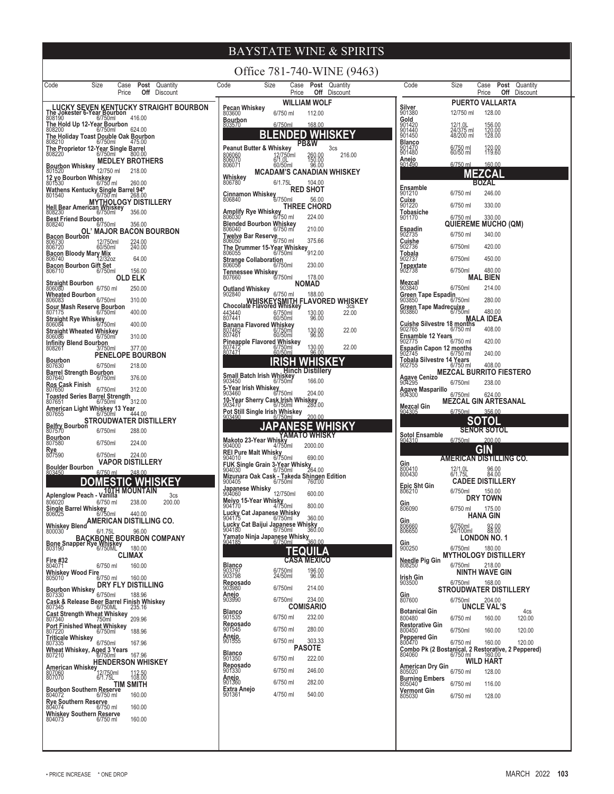| Size<br>Post Quantity<br>Code<br>Case                                                                                          | Size<br>Code<br>Case <b>Post</b> Quantity                                                           | Code<br><b>Post</b> Quantity<br>Case                                                          |
|--------------------------------------------------------------------------------------------------------------------------------|-----------------------------------------------------------------------------------------------------|-----------------------------------------------------------------------------------------------|
| <b>Off</b> Discount<br>Price                                                                                                   | <b>Off</b> Discount<br>Price                                                                        | Price<br>Off<br>Discount                                                                      |
| LUCKY SEVEN KENTUCKY STRAIGHT BOURBON<br>The Jokester 6-Year Bourbon<br>808190 6/750ml 416.00                                  | <b>WILLIAM WOLF</b><br>Pecan Whiskey                                                                | <b>PUERTO VALLARTA</b><br>Silver                                                              |
| The Hold Up 12-Year Bourbon                                                                                                    | 803600<br>6/750 ml<br>112.00<br>Bourbon                                                             | 901380<br>12/750 ml<br>128.00<br>Gold                                                         |
| 808200<br>624.00<br>6/750ml                                                                                                    | 803570<br>6/750ml<br>168.00<br><b>BLENDED WHISKEY</b>                                               | 901420<br>901440<br>12/1.0L<br>24/375 ml<br>48/200 ml<br>156.00<br>120.00<br>128.00<br>901450 |
| The Holiday Toast Double Oak Bourbon<br>808210<br>6/750ml<br>475.00                                                            | PB&W<br><b>Peanut Butter &amp; Whiskey</b>                                                          | Blanco                                                                                        |
| The Proprietor 12-Year Single Barrel<br>808220<br>6/750ml<br>800.00                                                            | 3 <sub>cs</sub><br>12/750ml<br>6/1.0L<br>806060<br>806070<br>260.00<br>150.00<br>216.00             | 901470<br>901480<br>6/750 ml<br>60/50 ml<br>120.00<br>119.60                                  |
| <b>MEDLEY BROTHERS</b><br><b>Bourbon Whiskey</b><br>12/750 ml                                                                  | 806071<br>60/50ml<br>96.00                                                                          | Anejo<br>901490<br>6/750 ml<br>160.00                                                         |
| 801520<br>218.00<br>12 yo Bourbon Whiskey                                                                                      | <b>MCADAM'S CANADIAN WHISKEY</b><br>Whiskey<br>6/1.75L<br>104.00<br>806780                          | <b>MEZCAL</b><br><b>BOZAL</b>                                                                 |
| $6/750$ ml<br>801530<br>260.00<br>Wathens Kentucky Single Barrel 94°                                                           | <b>RED SHOT</b>                                                                                     | Ensamble<br>901210<br>6/750 ml<br>246.00                                                      |
| MYTHOLLOG 268.00<br>Hell Bear American Whiskey<br>208230<br>RDS230                                                             | Cinnamon Whiskey<br>56.00                                                                           | Cuixe<br>901220<br>6/750 ml<br>330.00                                                         |
|                                                                                                                                | THREE CHORD<br>Amplify Rye Whiskey<br>806030<br>6/7<br>6/750 ml<br>224.00                           | Tobasiche<br>901170<br>6/750 ml<br>330.00                                                     |
| <b>Best Friend Bourbon</b><br>6/750ml<br>356.00<br>808240                                                                      | Blended Bourbon Whiskey<br>210.00                                                                   | <b>QUIEREME MUCHO (QM)</b>                                                                    |
| OL' MAJOR BACON BOURBON                                                                                                        | 806040<br>6/750 ml<br><b>Twelve Bar Reserve</b>                                                     | Espadin<br>902735<br>6/750 ml<br>340.00                                                       |
| <b>Bacon Bourbon</b><br>806730<br>806720<br>12/750ml<br>224.00<br>240.00<br>60/50ml                                            | 375.66<br>6/750 ml<br>806050<br>The Drummer 15-Year Whiskey                                         | $\frac{\text{Cuishe}}{902736}$<br>6/750ml<br>420.00                                           |
| Bacon Bloody Mary Mix<br>806740 12/32oz<br>64.00                                                                               | 912.00<br>806055<br>6/750ml<br><b>Strange Collaboration</b>                                         | Tobala<br>6/750ml<br>450.00<br>902737                                                         |
| <b>Bacon Bourbon Gift Set</b><br>156.00<br>806710<br>6/750ml                                                                   | 230.00<br>806056<br>6/750ml<br>Tennessee Whiskey                                                    | Tepextate<br>902738<br>6/750ml<br>480.00                                                      |
| <b>OLD ELK</b><br>Straight Bourbon<br>806080                                                                                   | 6/750ml<br>178.00<br>807660<br><b>NOMAD</b>                                                         | <b>MAL BIEN</b><br>Mezcal                                                                     |
| 6/750 ml<br>250.00<br><b>Wheated Bourbon</b>                                                                                   | <b>Outland Whiskey</b><br>6/750 ml<br>188.00<br>902840                                              | 6/750ml<br>214.00<br>903840<br>Green Tape Espadin                                             |
| 806083<br>6/750ml<br>310.00<br>Sour Mash Reserve Bourbon                                                                       | <b>CLEAN WHISKEYSMITH FLAVORED WHISKEY</b>                                                          | 6/750ml<br>280.00<br>903850<br>Green Tape Madrecuixe                                          |
| 400.00<br>807175<br>6/750ml                                                                                                    | 443440<br>807441<br>6/750ml<br>60/50ml<br>22.00<br>130.00<br>96.00                                  | 480.00<br>903860<br>6/750ml                                                                   |
| Straight Rye Whiskey<br>806084 6/750ml<br>400.00                                                                               | Banana Flavored Whiskey<br>22.00<br>130.00<br>807462<br>807461                                      | MALA IDEA<br>902765<br>408.00<br>6/750 ml                                                     |
| Straight Wheated Whiskey<br>806086<br>6/750ml<br>310.00<br><b>Infinity Blend Bourbon</b>                                       | 6/750ml<br>60/50ml<br>96.00                                                                         | <b>Ensamble 12 Years</b><br>902775<br>420.00<br>6/750 ml                                      |
| 808261<br>377.00<br>3/750ml<br><b>PENELOPE BOURBON</b>                                                                         | Pineapple Flavored Whiskey<br>807472 6/750ml<br>807471 60/50ml<br>22.00<br>130.00<br>96.00          | Espadin Capon 12 months<br>902745 6/750 ml<br>240.00                                          |
| <b>Bourbon</b><br>807630<br>6/750ml<br>218.00                                                                                  | <u>IRISH WHISKEY</u>                                                                                | <b>Tobala Silvestre 14 Years</b><br>902755<br>6/750 ml<br>408.00                              |
| Barrel Strength Bourbon<br>807640 6/750m<br>376.00<br>6/750ml                                                                  | <b>Small Batch Irish Whiskey</b><br>903450<br>903450                                                | <b>MEZCAL BURRITO FIESTERO</b>                                                                |
| Ros Cask Finish<br>6/750ml<br>312.00<br>807650                                                                                 | 5-Year Irish Whiskey                                                                                | Agave Cenizo<br>6/750ml<br>238.00                                                             |
| <b>Toasted Series Barrel Strength</b>                                                                                          | 6/750ml<br>204.00<br>903460<br>903400<br>10-Year Sherry Cask Irish Whiskey<br>003470 6/750ml 280.00 | Agave Masparillo<br>904300<br>6/750ml<br>624.00<br><b>MEZCAL GIN ARTESANAL</b>                |
| 807651<br>312.00<br>6/750ml<br>American Light Whiskey 13 Year<br>807655 6/750ml 44                                             | Pot Still Single Irish Whiskey                                                                      | Mezcal Gin<br>6/750ml<br>356.00<br><u>904305</u>                                              |
| Belfry Bourbon STROUDWATER DISTILLERY                                                                                          | 200.00<br>6/750ml                                                                                   | SOTOL                                                                                         |
|                                                                                                                                | <b>JAPANESE WHISKY</b>                                                                              | <b>SENOR SOTOL</b><br>Sotol Ensamble                                                          |
| <b>Bourbon</b><br>807580<br>6/750ml<br>224.00                                                                                  | Makoto 23-Year Whisky<br>Makoto 23-Year Whisky<br>904000 4/750ml 2000.00                            | 200.00<br>6/750ml<br>904310                                                                   |
| Rye<br>807590<br>6/750ml<br>224.00                                                                                             | REI Pure Malt Whisky<br>904010<br>6/750ml<br>690.00                                                 | <b>GIN</b><br>AMERICAN DISTILLING CO.                                                         |
| VAPOR DISTILLERY<br><b>Boulder Bourbon</b>                                                                                     | 904010<br><b>FUK Single Grain 3-Year Whisky</b><br>6/750ml 264.00                                   | Gin<br>800410<br>96.00<br>84.00                                                               |
| 6/750 ml<br>248.00<br>803450<br><b>MESTIC WHISKEY</b><br>DO                                                                    | Mizunara Oak Cask - Takeda Shingen Edition<br>6/750ml<br>760.00<br>900405                           | 12/1.0L<br>6/1.75L<br>800430<br><b>CADEE DISTILLERY</b>                                       |
| 10,TH MOUNTAIN                                                                                                                 | Japanese Whisky<br>904060<br>12/750ml<br>600.00                                                     | Epic Sht Gin<br>806210<br>6/750ml<br>150.00                                                   |
| Aplenglow Peach - Vanilla<br>3cs<br>806020<br>6/750 ml<br>238.00<br>200.00                                                     | 904000<br>Meiyo 15-Year Whisky<br>904170<br>4/750ml                                                 | <b>DRY TOWN</b><br>Gin                                                                        |
| Single Barrel Whiskey<br>440.00<br>6/750ml                                                                                     | 800.00<br>Lucky Cat Japanese Whisky<br>904175 6/750ml                                               | 806090<br>6/750 ml<br>175.00<br><b>HANA GIN</b>                                               |
| Whiskey Blend AMERICAN DISTILLING CO.                                                                                          | 360.00<br>Lucky Cat Baijui Japanese Whisky<br>904180 6/750ml 360.00                                 | Gin<br>6/750ml<br>806660<br>806650<br>92.00                                                   |
| 6/1.75L<br>96.00<br>800030                                                                                                     | Yamato Ninja Japanese Whisky<br>Yamato Ninja Japanese Whisky                                        | 24/100ml<br>88.00<br><b>LONDON NO. 1</b>                                                      |
| BACKBONE BOURBON COMPANY<br>Bone Snapper Rye Whiskey<br>803190<br>60750ML 180.00                                               | 6/750ml<br>TEQUILA                                                                                  | Gin<br>900250<br>6/750ml<br>180.00                                                            |
| <b>CLIMAX</b><br>Fire #32<br>804071                                                                                            | <b>CASA MEXICO</b>                                                                                  | <b>MYTHOLOGY DISTILLERY</b><br>Needle Pig Gin                                                 |
| 6/750 ml<br>160.00<br>Whiskey Wood Fire                                                                                        | <b>Blanco</b><br>6/750ml<br>24/50ml<br>196.00<br>96.00<br>903797<br>903798                          | 808250<br>6/750ml<br>218.00<br><b>NINTH WAVE GIN</b>                                          |
| 6/750 ml<br>160.00<br>805010<br>DRY FLY DISTILLING                                                                             | Reposado<br>903980                                                                                  | Irish Gin<br>6/750ml<br>903500<br>168.00                                                      |
| <b>Bourbon Whiskey</b><br>6/750ml<br>188.96<br>807330                                                                          | 214.00<br>6/750ml<br>Anejo<br>903990                                                                | <b>STROUDWATER DISTILLERY</b><br>Gin<br>807600                                                |
| Cask & Release Beer Barrel Finish Whiskey<br>807345<br>6/750ML<br>235.16                                                       | 6/750ml<br>234.00<br><b>COMISARIO</b>                                                               | 6/750ml<br>204.00<br>UNCLE VAL'S                                                              |
| <b>Cast Strength Wheat Whiskey</b><br>209.96<br>807340<br>750ml                                                                | Blanco<br>6/750 ml<br>232.00<br>901535                                                              | <b>Botanical Gin</b><br>4cs<br>800480<br>160.00<br>120.00<br>6/750 ml                         |
| Port Finished Wheat Whiskey<br>807220 6/750ml<br>188.96                                                                        | Reposado<br>6/750 ml<br>280.00<br>901545                                                            | <b>Restorative Gin</b><br>6/750ml<br>160.00<br>120.00<br>800450                               |
| <b>Triticale Whiskey</b><br>6/750ml<br>807335<br>167.96                                                                        | <b>Anejo</b><br>901555<br>6/750 ml<br>303.33                                                        | Peppered Gin<br>800470<br>6/750 ml<br>120.00<br>160.00                                        |
| Wheat Whiskey, Aged 3 Years<br>807210<br>6/750ml<br>167.96                                                                     | <b>PASOTE</b><br><b>Blanco</b>                                                                      |                                                                                               |
| <b>HENDERSON WHISKEY</b><br>$\frac{\text{American WhiskeV}}{\text{Marg} + \frac{1}{2} \cdot 750 \text{m}}$<br>$\frac{6}{1.75}$ | 901350<br>222.00<br>6/750 ml                                                                        | <b>WILD HART</b>                                                                              |
| 112.50<br>108.00                                                                                                               | Reposado<br>901330<br>6/750 ml<br>246.00                                                            | American Dry Gin<br>6/750 ml<br>128.00<br>805020                                              |
| TIM SMITH                                                                                                                      | <b>Anejo</b><br>901360<br>6/750 ml<br>282.00                                                        | <b>Burning Embers</b><br>805040<br>6/750 ml<br>116.00                                         |
| Bourbon Southern Reserve<br>804072 6/750 ml<br>160.00                                                                          | Extra Anejo<br>4/750 ml<br>540.00<br>901361                                                         | Vermont Gin<br>128.00<br>805030<br>6/750 ml                                                   |
| <b>Rye Southern Reserve</b><br>804074<br>160.00<br>6/750 ml<br>Whiskey Southern Reserve<br>804073 6/750 ml                     |                                                                                                     |                                                                                               |
|                                                                                                                                |                                                                                                     |                                                                                               |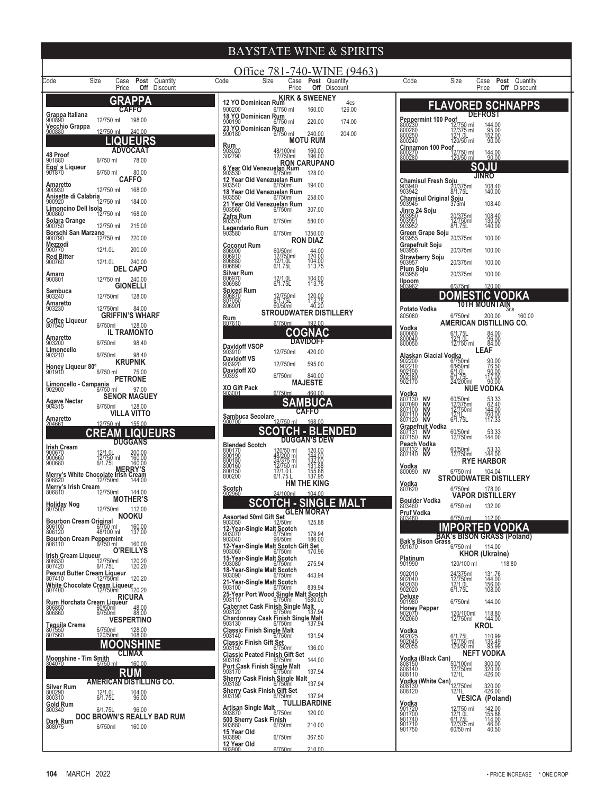|                                                                                                                   | <b>BAYSTATE WINE &amp; SPIRITS</b>                                                                                                                                                             |                                                                                                                                                                                                                                      |
|-------------------------------------------------------------------------------------------------------------------|------------------------------------------------------------------------------------------------------------------------------------------------------------------------------------------------|--------------------------------------------------------------------------------------------------------------------------------------------------------------------------------------------------------------------------------------|
| Size<br>Post Quantity<br>Code<br>Case                                                                             | Office 781-740-WINE (9463)<br>Code<br>Size<br>Case Post Quantity                                                                                                                               | Size<br>Code<br><b>Post</b> Quantity<br>Case                                                                                                                                                                                         |
| Price<br><b>Off</b> Discount<br>GRAPPA                                                                            | Off Discount<br>Price<br>12 YO Dominican Rum KIRK & SWEENEY<br>4cs                                                                                                                             | Price<br>Off Discount                                                                                                                                                                                                                |
| CAFFO<br>Grappa Italiana<br>900890                                                                                | 900200<br>6/750 ml<br>126.00<br>160.00<br>18 YO Dominican Rum                                                                                                                                  | <b>FLAVORED SCHNAPPS</b><br><b>DEFROST</b>                                                                                                                                                                                           |
| 12/750 ml<br>198.00<br>Vecchio Grappa<br>12/750 ml<br>240.00<br>900880                                            | 900190<br>6/750 ml<br>220.00<br>174.00<br>23 YO Dominican Rum<br>900180<br>6/750 ml<br>240.00<br>204.00                                                                                        | <b>Peppermint 100 Poof</b><br>800230 12/7<br>800260 12/2<br>800250 12/1<br>800240 120<br>12/750 ml<br>12/375 ml<br>12/1.0L<br>120/50 ml<br>144.00<br>95.00<br>152.00<br>90.00                                                        |
| <b>LIQUEURS</b><br><b>ADVOCAAT</b>                                                                                | <b>MOTU RUM</b>                                                                                                                                                                                | Cinnamon 100 Poof                                                                                                                                                                                                                    |
| 48 Proof<br>901880<br>78.00<br>6/750 ml                                                                           | <b>Rum</b><br>903020<br>302790<br>48/100ml<br>12/750ml<br>160.00<br>196.00<br>RON CARUPANO                                                                                                     | 800270<br>12/750 ml<br>120/50 ml<br>144.00<br>90.00                                                                                                                                                                                  |
| Egg's Liqueur<br>901870<br>6/750 ml<br>80.00<br><b>CAFFO</b>                                                      | 128.00<br>903530<br>6/750ml<br>12 Year Old Venezuelan Rum                                                                                                                                      | <b>SOJU</b><br>JINRO                                                                                                                                                                                                                 |
| Amaretto<br>12/750 ml<br>168.00<br>900930<br>Anisette di Calabria                                                 | 194.00<br>903540<br>6/750ml<br>18 Year Old Venezuelan Rum<br>258.00<br>903550<br>6/750ml                                                                                                       | Chamisul Fresh Soju<br>903940 20/375ml<br>903942 8/1.75L<br>108.40<br>140.00                                                                                                                                                         |
| 900920<br>12/750 ml<br>184.00<br>Limoncino Dell Isola                                                             | 21 Year Old Venezuelan Rum<br>903560<br>307.00<br>6/750ml                                                                                                                                      | Chamisul Original Soju<br>108.40<br>903945<br>375ml<br>Jinro 24 Soju                                                                                                                                                                 |
| 900860<br>12/750 ml<br>168.00<br>Solara Orange<br>900750<br>12/750 ml<br>215.00                                   | <b>Zafra Rum</b><br>903570<br>580.00<br>6/750ml<br>Legendario Rum                                                                                                                              | 20/375ml<br>12/750ml<br>8/1.75L<br>903950<br>903951<br>108.40<br>130.00<br>140.00<br>903952                                                                                                                                          |
| Borschi San Marzano<br>900790<br>220.00<br>12/750 ml<br>Mezzodi                                                   | 6/750ml<br>1350.00<br>903580<br><b>RON DIAZ</b>                                                                                                                                                | Green Grape Soju<br>20/375ml<br>100.00<br>903955                                                                                                                                                                                     |
| 12/1.0L<br>200.00<br>900770<br><b>Red Bitter</b>                                                                  | <b>Coconut Rum</b><br>60/50ml<br>12/750ml<br>12/1.0L<br>44.00<br>120.00<br>806900<br>806910<br>104.00                                                                                          | Grapefruit Soju<br>20/375ml<br>100.00<br>903956<br>Strawberry Soju                                                                                                                                                                   |
| 12/1.0L<br>240.00<br>900760<br><b>DEL CAPO</b><br>Amaro                                                           | 806880<br>671.75L<br>806890<br>113.75<br><b>Silver Rum</b>                                                                                                                                     | 20/375ml<br>100.00<br>903957<br>Plum Soju<br>20/375ml<br>100.00<br>903958                                                                                                                                                            |
| 12/750 ml<br>240.00<br>900801<br><b>GIONELLI</b><br>Sambuca                                                       | 12/1.0L<br>6/1.75L<br>806970<br>104.00<br>113.75<br>806980<br><b>Spiced Rum</b>                                                                                                                | <b>llpoom</b><br>903962<br>6/375ml<br>120.00                                                                                                                                                                                         |
| 903240<br>12/750ml<br>128.00<br>Amaretto                                                                          | 806870<br>12/750ml<br>6/1.75L<br>120.00<br>113.75<br>60/50ml<br>806901<br>40.20                                                                                                                | DOMESTIC VODKA<br><b>10TH MOUNTAIN</b>                                                                                                                                                                                               |
| 12/750ml<br>84.00<br>903230<br><b>GRIFFIN'S WHARF</b><br><b>Coffee Liqueur</b>                                    | STROUDWATER DISTILLERY<br><b>Rum</b><br>807610<br>6/750ml<br>192.00                                                                                                                            | Potato Vodka<br>scs<br>805080<br>6/750ml<br>200.00<br>160.00<br>AMERICAN DISTILLING CO.                                                                                                                                              |
| 6/750ml<br>807540<br>128.00<br><b>IL TRAMONTO</b><br>Amaretto                                                     | COGNAC                                                                                                                                                                                         | Vodka<br>800060<br>6/1.75L<br>84.00<br>800040<br>12/1.0L                                                                                                                                                                             |
| 903200<br>6/750ml<br>98.40<br>Limoncello                                                                          | <b>DAVIDOFF</b><br><b>Davidoff VSOP</b><br>12/750ml<br>420.00<br>903910                                                                                                                        | 96.00<br>800050<br>12/750 ml<br>LEAF                                                                                                                                                                                                 |
| 6/750ml<br>903210<br>98.40<br><b>KRUPNIK</b><br>Honey Liqueur 80°                                                 | <b>Davidoff VS</b><br>12/750ml<br>595.00<br>903920<br>Davidoff XO                                                                                                                              | Alaskan Glacial Vodka<br>90.00<br>76.50<br>90.00<br>117.00<br>6/750ml<br>6/950ml                                                                                                                                                     |
| 6/750 ml<br>75.00<br><b>PETRONE</b><br>Limoncello - Campania                                                      | 6/750ml<br>840.00<br>90393<br><b>MAJESTE</b>                                                                                                                                                   | 902200<br>902210<br>902190<br>902180<br>902170<br>6/1.0L<br>6/1.75L<br>24/200ml<br>90.00                                                                                                                                             |
| 6/750 ml<br>97.00<br>902900<br><b>SENOR MAGUEY</b>                                                                | <b>XO Gift Pack</b><br>6/750ml<br>460.00<br>SAMBUCA                                                                                                                                            | <b>NUE VODKA</b><br>Vodka<br>ΝV                                                                                                                                                                                                      |
| Agave Nectar<br>904315<br>6/750ml<br>128.00<br>VILLA VITTO                                                        | <b>CAFFO</b><br>Sambuca Secolare                                                                                                                                                               | 807130<br>807090<br>807100<br>807110<br>60/50ml<br>12/375ml<br>12/750ml<br>12/1L.<br>53.33<br>62.40<br>144.00<br>16 <u>0</u> .00<br>NV<br>NV<br>NV                                                                                   |
| Amaretto<br>204661<br>12/750 ml<br>155.00<br>CREAM LIQUEURS                                                       | 12/750 ml<br>168.00<br><b>SCOTCH - BLENDED</b>                                                                                                                                                 | 807120<br><b>NV</b><br>6/1.75L<br>117.33<br>Grapefruit Vodka                                                                                                                                                                         |
| <b>DUGGANS</b>                                                                                                    | <b>DUGGAN'S DEW</b><br><b>Blended Scotch</b>                                                                                                                                                   | 60/50ml<br>12/750ml<br>807131 NV<br>807150 NV<br>53.33<br>144.00<br>Peach Vodka<br><b>NV</b>                                                                                                                                         |
| <b>Irish Cream</b><br>900670<br>900660<br>900680<br>12/1.0L<br>12/750 ml<br>6/1.75L<br>200.00<br>160.00<br>160.00 | 120/50 ml<br>48/200 ml<br>24/375 ml<br>12/750 ml<br>12/1.0 L<br>120.00<br>144.00<br>132.00<br>131.88<br>155.88<br>155.88<br>137.95<br>800170<br>800190<br>800180<br>800160<br>800150<br>800200 | 807132<br>807140<br>60/50ml<br>12/750ml<br>53.33<br>144.00<br><b>NV</b><br><b>RYE HARBOR</b>                                                                                                                                         |
| MERRY's White Chocolate Irish Cream<br>806820 12/750ml 144.00<br>Merry's Irish Cream 12/750ml 144.00              | 6/1.75 L                                                                                                                                                                                       | Vodka<br>800090 NV<br>6/750 ml<br>104.04<br><b>STROUDWATER DISTILLERY</b>                                                                                                                                                            |
| Merry's Irish Cream<br>12/750ml<br>144.00<br>806810                                                               | <b>HM THE KING</b><br>Scotch<br>902960<br>24/100ml<br>104.00                                                                                                                                   | Vodka<br>6/750ml<br>178.00<br>807620<br><b>VAPOR DISTILLERY</b>                                                                                                                                                                      |
| <b>MOTHER'S</b><br>Holiday Nog<br>807500<br>12/750ml<br>112.00                                                    | <b>SCOTCH - SINGLE MALT</b>                                                                                                                                                                    | <b>Boulder Vodka</b><br>6/750 ml<br>132.00<br>803460<br>Pruf Vodka                                                                                                                                                                   |
| <b>NOOKU</b><br>Bourbon Cream Original<br>806100 67750 ml<br>806100<br>160.00<br>137.00                           | Assorted 50ml Gift Set GLEN MORAT<br>903050<br>12-Year Streets at 1250ml 125.88<br>12-Year-Single Malt Scotch                                                                                  | 6/750 ml<br>112.00<br>803480<br>IMPORTED VODKA                                                                                                                                                                                       |
| 48/100 ml<br><b>Bourbon Cream Peppermint</b><br>160.00<br>806110<br>6/750 ml                                      | 179.94<br>186.00<br>903070<br>903040<br>6/750ml<br>96/50ml                                                                                                                                     | <b>Bak's Bison Grass Contract Contract Contract Contract Contract Contract Contract Contract Contract Contract Contract Contract Contract Contract Contract Contract Contract Contract Contract Contract Contract Contract Contr</b> |
| <b>O'REILLYS</b><br><b>Irish Cream Liqueur</b><br>806830 12<br>807420 6/                                          | 12-Year-Single Malt Scotch Gift Set<br>903060 6/750ml 170.96<br>170.96<br>15-Year-Single Malt Scotch                                                                                           | <b>KHOR (Ukraine)</b>                                                                                                                                                                                                                |
| 12/750ml<br>6/1.75L<br>120.20<br>120.20<br>Peanut Butter Cream Liqueur<br>807410 12/750ml                         | 275.94<br>903080<br>6/750ml<br>18-Year-Single Malt Scotch<br>903090<br>6/750ml<br>443.94                                                                                                       | <b>Platinum</b><br>901990<br>120/100 ml<br>118.80                                                                                                                                                                                    |
| 120.20<br>White Chocolate Cream Liqueur<br>120.20<br>807400<br>12/750ml                                           | 21-Year-Single Malt Scotch<br>903100 6/750ml<br>839.94                                                                                                                                         | 902010<br>902040<br>902030<br>902020<br>24/375ml<br>12/750ml<br>12/1.0L<br>6/1.75L<br>131.76<br>144.00<br>156.00<br>108.00                                                                                                           |
| <b>RICURA</b><br>Rum Horchata Cream Liqueur<br>806850<br>806860 6/750ml                                           | 25-Year Port Wood Single Malt Scotch<br>903110<br>$6/750$ ml<br>1580.00<br>Cabernet Cask Finish Single Malt<br>903120 6/750ml                                                                  | Deluxe<br>6/750ml<br>144.00<br>901980                                                                                                                                                                                                |
| 48.00<br>88.00<br><b>VESPERTINO</b>                                                                               | 137.94<br>Chardonnay Cask Finish Single Malt<br>903130<br>6/750ml<br>137.94                                                                                                                    | <b>Honey Pepper</b><br>902070<br>902060<br>120/100ml<br>118.80<br>144.00<br>12/750ml                                                                                                                                                 |
| Tequila Crema<br>807550<br>807560<br>6/750ml<br>120/50ml<br>128.00<br>108.00                                      | Classic Finish Single Malt<br>903140<br>6/750ml<br>131.94                                                                                                                                      | <b>KROL</b><br><b>Vodka</b><br>902025<br>902045<br>902055                                                                                                                                                                            |
| <b>MOONSHINE</b><br><b>CLIMAX</b>                                                                                 | Classic Finish Gift Set<br>903150<br>6/750ml<br>136.00                                                                                                                                         | 110.99<br>135.49<br>95.99<br>6/1.75L<br>12/750 ml<br>120/50 ml<br><b>NEFT VODKA</b>                                                                                                                                                  |
| Moonshine - Tim Smith<br>804070 6/750 ml<br>160.00                                                                | Classic Peated Finish Gift Set<br>903160 6/750ml<br>144.00<br>Port Cask Finish Single Malt<br>903170 6/750ml                                                                                   | Vodka (Black Can)<br>808150 50/100ml<br>808140 12/750ml<br>808110 12/1L<br>300.00<br>320.00<br>426.00                                                                                                                                |
| <b>RUM</b><br><b>AMERICAN DISTILLING CO.</b>                                                                      | 137.94<br>Sherry Cask Finish Single Malt<br>903180 6/750ml<br>137.94                                                                                                                           | 308140<br><b>808140<br/>Vodka (White Can) 12/750ml</b><br>12/ <b>11 12/11</b><br>17 <b>17 17</b>                                                                                                                                     |
| <b>Silver Rum</b><br>800290<br>800310<br>104.00<br>96.00<br>12/1.0L<br>6/1.75L                                    | <b>Sherry Cask Finish Gift Set</b><br>903190<br>6/750ml<br>137.94<br><b>TULLIBARDINE</b>                                                                                                       | 320.00<br>426.00<br><b>VESICA (Poland)</b>                                                                                                                                                                                           |
| Gold Rum<br>800340<br>6/1.75L<br>96.00<br>DOC BROWN'S REALLY BAD RUM                                              | Artisan Single Malt<br>903870 6<br>6/750ml<br>120.00                                                                                                                                           | <b>Vodka</b><br>901720<br>901700<br>901740<br>901710<br>12/750 ml<br>12/1.0L<br>6/1.75L<br>12/375 ml<br>60/50 ml<br>142.00<br>155.88<br>114.00                                                                                       |
| Dark Rum<br>6/750ml<br>160.00<br>808075                                                                           | 500 Sherry Cask Finish<br>903880 6/750ml<br>210.00<br>15 Year Old<br>903890                                                                                                                    | 46.00<br>901750<br>40.50                                                                                                                                                                                                             |
|                                                                                                                   | 6/750ml<br>367.50                                                                                                                                                                              |                                                                                                                                                                                                                                      |

**12 Year Old**

6/750ml 210.00